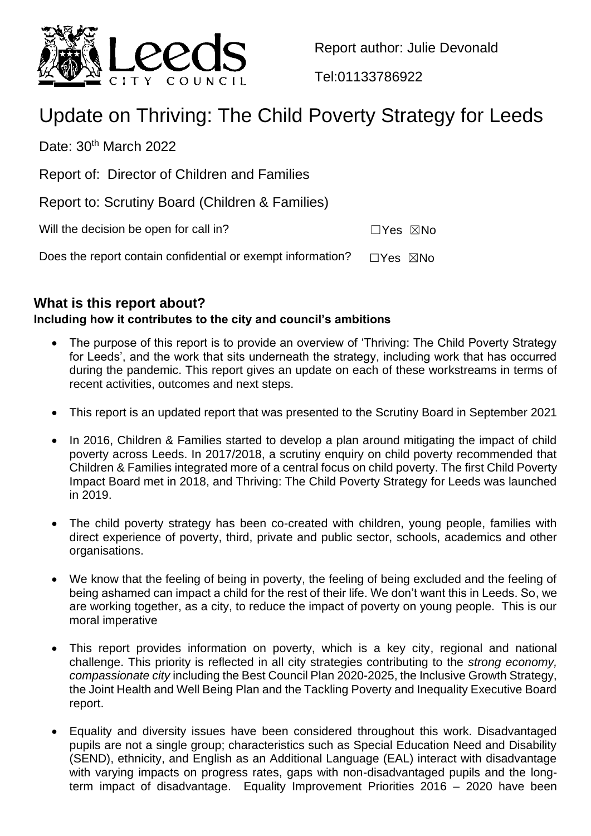

Report author: Julie Devonald

Tel:01133786922

# Update on Thriving: The Child Poverty Strategy for Leeds

Date:  $30<sup>th</sup>$  March 2022

Report of: Director of Children and Families

Report to: Scrutiny Board (Children & Families)

| Will the decision be open for call in? |  | □Yes ⊠No |
|----------------------------------------|--|----------|
|----------------------------------------|--|----------|

Does the report contain confidential or exempt information?  $\Box$ Yes  $\boxtimes$ No

## **What is this report about?**

## **Including how it contributes to the city and council's ambitions**

- The purpose of this report is to provide an overview of 'Thriving: The Child Poverty Strategy for Leeds', and the work that sits underneath the strategy, including work that has occurred during the pandemic. This report gives an update on each of these workstreams in terms of recent activities, outcomes and next steps.
- This report is an updated report that was presented to the Scrutiny Board in September 2021
- In 2016, Children & Families started to develop a plan around mitigating the impact of child poverty across Leeds. In 2017/2018, a scrutiny enquiry on child poverty recommended that Children & Families integrated more of a central focus on child poverty. The first Child Poverty Impact Board met in 2018, and Thriving: The Child Poverty Strategy for Leeds was launched in 2019.
- The child poverty strategy has been co-created with children, young people, families with direct experience of poverty, third, private and public sector, schools, academics and other organisations.
- We know that the feeling of being in poverty, the feeling of being excluded and the feeling of being ashamed can impact a child for the rest of their life. We don't want this in Leeds. So, we are working together, as a city, to reduce the impact of poverty on young people. This is our moral imperative
- This report provides information on poverty, which is a key city, regional and national challenge. This priority is reflected in all city strategies contributing to the *strong economy, compassionate city* including the Best Council Plan 2020-2025, the Inclusive Growth Strategy, the Joint Health and Well Being Plan and the Tackling Poverty and Inequality Executive Board report.
- Equality and diversity issues have been considered throughout this work. Disadvantaged pupils are not a single group; characteristics such as Special Education Need and Disability (SEND), ethnicity, and English as an Additional Language (EAL) interact with disadvantage with varying impacts on progress rates, gaps with non-disadvantaged pupils and the longterm impact of disadvantage. Equality Improvement Priorities 2016 – 2020 have been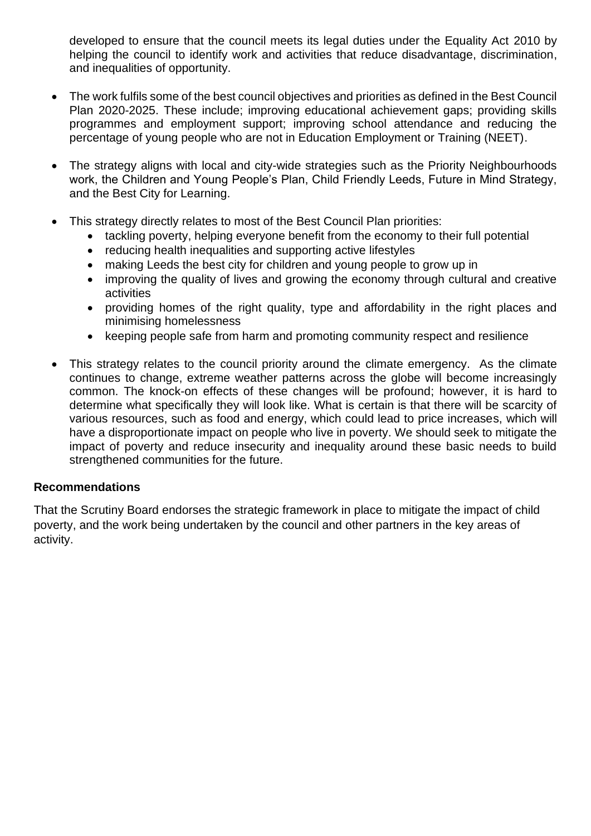developed to ensure that the council meets its legal duties under the Equality Act 2010 by helping the council to identify work and activities that reduce disadvantage, discrimination, and inequalities of opportunity.

- The work fulfils some of the best council objectives and priorities as defined in the Best Council Plan 2020-2025. These include; improving educational achievement gaps; providing skills programmes and employment support; improving school attendance and reducing the percentage of young people who are not in Education Employment or Training (NEET).
- The strategy aligns with local and city-wide strategies such as the Priority Neighbourhoods work, the Children and Young People's Plan, Child Friendly Leeds, Future in Mind Strategy, and the Best City for Learning.
- This strategy directly relates to most of the Best Council Plan priorities:
	- tackling poverty, helping everyone benefit from the economy to their full potential
	- reducing health inequalities and supporting active lifestyles
	- making Leeds the best city for children and young people to grow up in
	- improving the quality of lives and growing the economy through cultural and creative activities
	- providing homes of the right quality, type and affordability in the right places and minimising homelessness
	- keeping people safe from harm and promoting community respect and resilience
- This strategy relates to the council priority around the climate emergency. As the climate continues to change, extreme weather patterns across the globe will become increasingly common. The knock-on effects of these changes will be profound; however, it is hard to determine what specifically they will look like. What is certain is that there will be scarcity of various resources, such as food and energy, which could lead to price increases, which will have a disproportionate impact on people who live in poverty. We should seek to mitigate the impact of poverty and reduce insecurity and inequality around these basic needs to build strengthened communities for the future.

## **Recommendations**

That the Scrutiny Board endorses the strategic framework in place to mitigate the impact of child poverty, and the work being undertaken by the council and other partners in the key areas of activity.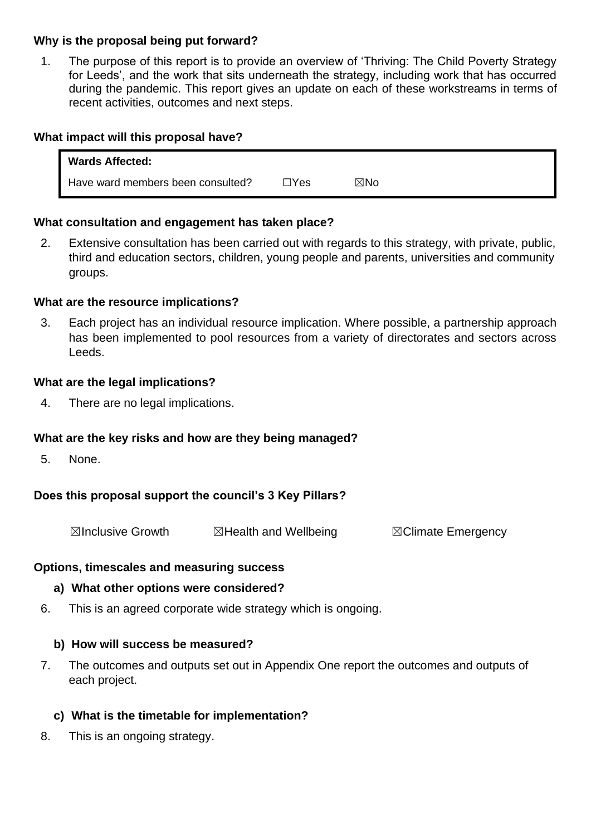## **Why is the proposal being put forward?**

1. The purpose of this report is to provide an overview of 'Thriving: The Child Poverty Strategy for Leeds', and the work that sits underneath the strategy, including work that has occurred during the pandemic. This report gives an update on each of these workstreams in terms of recent activities, outcomes and next steps.

## **What impact will this proposal have?**

| <b>Wards Affected:</b>            |      |                |  |
|-----------------------------------|------|----------------|--|
| Have ward members been consulted? | ⊓Yes | $\boxtimes$ No |  |

## **What consultation and engagement has taken place?**

2. Extensive consultation has been carried out with regards to this strategy, with private, public, third and education sectors, children, young people and parents, universities and community groups.

## **What are the resource implications?**

3. Each project has an individual resource implication. Where possible, a partnership approach has been implemented to pool resources from a variety of directorates and sectors across Leeds.

## **What are the legal implications?**

4. There are no legal implications.

## **What are the key risks and how are they being managed?**

5. None.

## **Does this proposal support the council's 3 Key Pillars?**

☒Inclusive Growth ☒Health and Wellbeing ☒Climate Emergency

## **Options, timescales and measuring success**

## **a) What other options were considered?**

6. This is an agreed corporate wide strategy which is ongoing.

## **b) How will success be measured?**

7. The outcomes and outputs set out in Appendix One report the outcomes and outputs of each project.

## **c) What is the timetable for implementation?**

8. This is an ongoing strategy.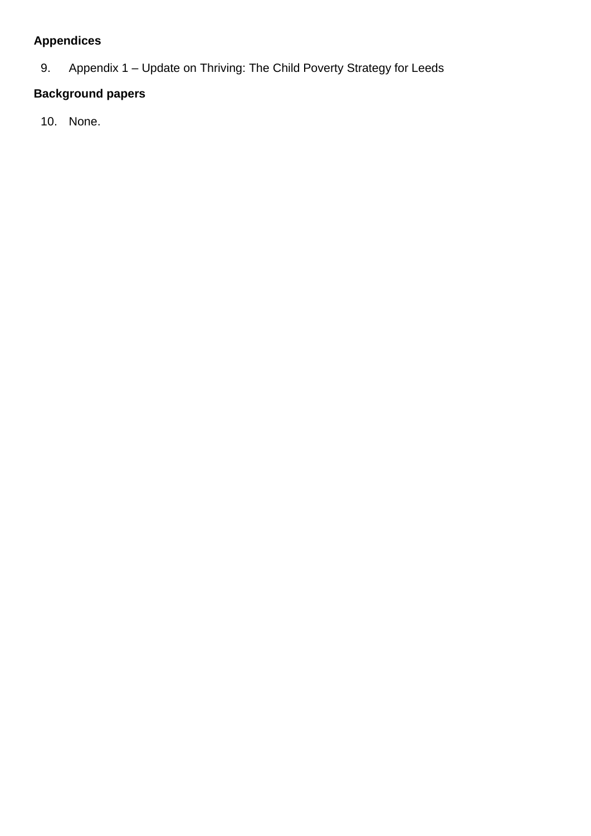## **Appendices**

9. Appendix 1 – Update on Thriving: The Child Poverty Strategy for Leeds

## **Background papers**

10. None.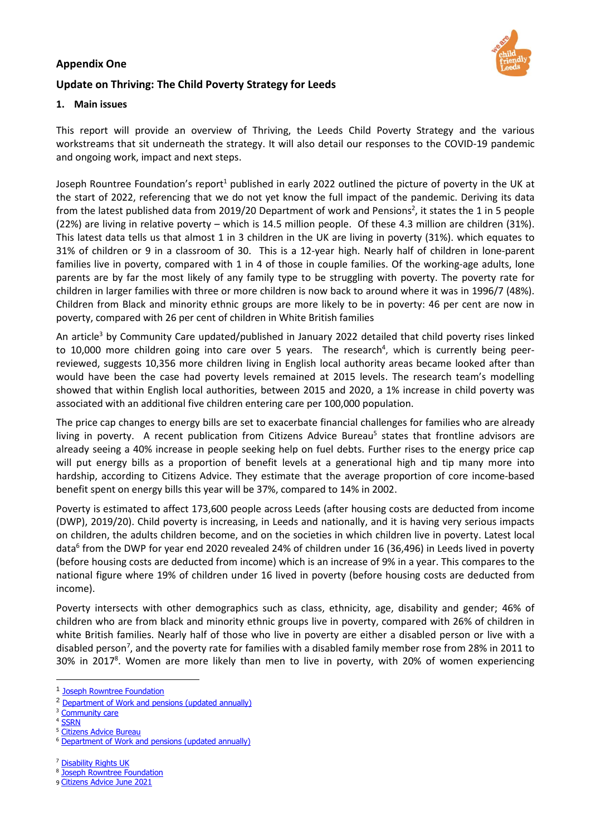#### **Appendix One**



## **Update on Thriving: The Child Poverty Strategy for Leeds**

#### **1. Main issues**

This report will provide an overview of Thriving, the Leeds Child Poverty Strategy and the various workstreams that sit underneath the strategy. It will also detail our responses to the COVID-19 pandemic and ongoing work, impact and next steps.

Joseph Rountree Foundation's report<sup>1</sup> published in early 2022 outlined the picture of poverty in the UK at the start of 2022, referencing that we do not yet know the full impact of the pandemic. Deriving its data from the latest published data from 2019/20 Department of work and Pensions<sup>2</sup>, it states the 1 in 5 people (22%) are living in relative poverty – which is 14.5 million people. Of these 4.3 million are children (31%). This latest data tells us that almost 1 in 3 children in the UK are living in poverty (31%). which equates to 31% of children or 9 in a classroom of 30. This is a 12-year high. Nearly half of children in lone-parent families live in poverty, compared with 1 in 4 of those in couple families. Of the working-age adults, lone parents are by far the most likely of any family type to be struggling with poverty. The poverty rate for children in larger families with three or more children is now back to around where it was in 1996/7 (48%). Children from Black and minority ethnic groups are more likely to be in poverty: 46 per cent are now in poverty, compared with 26 per cent of children in White British families

An article<sup>3</sup> by Community Care updated/published in January 2022 detailed that child poverty rises linked to 10,000 more children going into care over 5 years. The research<sup>4</sup>, which is currently being peerreviewed, suggests 10,356 more children living in English local authority areas became looked after than would have been the case had poverty levels remained at 2015 levels. The research team's modelling showed that within English local authorities, between 2015 and 2020, a 1% increase in child poverty was associated with an additional five children entering care per 100,000 population.

The price cap changes to energy bills are set to exacerbate financial challenges for families who are already living in poverty. A recent publication from Citizens Advice Bureau<sup>5</sup> states that frontline advisors are already seeing a 40% increase in people seeking help on fuel debts. Further rises to the energy price cap will put energy bills as a proportion of benefit levels at a generational high and tip many more into hardship, according to Citizens Advice. They estimate that the average proportion of core income-based benefit spent on energy bills this year will be 37%, compared to 14% in 2002.

Poverty is estimated to affect 173,600 people across Leeds (after housing costs are deducted from income (DWP), 2019/20). Child poverty is increasing, in Leeds and nationally, and it is having very serious impacts on children, the adults children become, and on the societies in which children live in poverty. Latest local data 6 from the DWP for year end 2020 revealed 24% of children under 16 (36,496) in Leeds lived in poverty (before housing costs are deducted from income) which is an increase of 9% in a year. This compares to the national figure where 19% of children under 16 lived in poverty (before housing costs are deducted from income).

Poverty intersects with other demographics such as class, ethnicity, age, disability and gender; 46% of children who are from black and minority ethnic groups live in poverty, compared with 26% of children in white British families. Nearly half of those who live in poverty are either a disabled person or live with a disabled person<sup>7</sup>, and the poverty rate for families with a disabled family member rose from 28% in 2011 to 30% in 2017<sup>8</sup>. Women are more likely than men to live in poverty, with 20% of women experiencing

<sup>&</sup>lt;sup>1</sup> [Joseph Rowntree](https://www.jrf.org.uk/report/uk-poverty-2022) Foundation

<sup>2</sup> [Department of Work and pensions \(updated annually\)](https://www.gov.uk/government/collections/children-in-low-income-families-local-area-statistics)

<sup>&</sup>lt;sup>3</sup> [Community](https://www.communitycare.co.uk/2022/01/06/child-poverty-responsible-10000-additional-entries-care-system-five-years-research-suggests/) care

<sup>4</sup> [SSRN](https://papers.ssrn.com/sol3/papers.cfm?abstract_id=3972210)

<sup>&</sup>lt;sup>5</sup> [Citizens Advice Bureau](https://www.citizensadvice.org.uk/about-us/about-us1/media/press-releases/soaring-price-cap-set-to-leave-energy-bills-as-a-proportion-of-benefits-levels-at-generational-high/)

<sup>6</sup> Department of Work [and pensions \(updated annually\)](https://www.gov.uk/government/collections/children-in-low-income-families-local-area-statistics)

<sup>7</sup> [Disability Rights UK](https://www.disabilityrightsuk.org/news/2020/february/nearly-half-everyone-poverty-either-disabled-person-or-lives-disabled-person)

<sup>&</sup>lt;sup>8</sup> [Joseph Rowntree Foundation](https://www.jrf.org.uk/data/poverty-rates-families-disabled-person)

<sup>9</sup> Citizens [Advice June 2021](https://www.citizensadvice.org.uk/about-us/about-us1/media/press-releases/fix-universal-credit-or-risk-irreparable-covid-scarring-says-citizens-advice1/)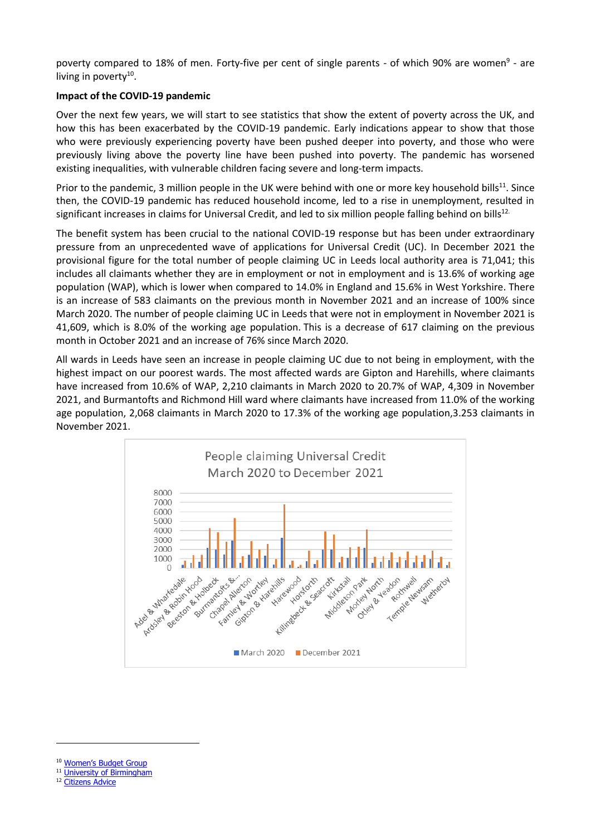poverty compared to 18% of men. Forty-five per cent of single parents - of which 90% are women<sup>9</sup> - are living in poverty<sup>10</sup>.

#### **Impact of the COVID-19 pandemic**

Over the next few years, we will start to see statistics that show the extent of poverty across the UK, and how this has been exacerbated by the COVID-19 pandemic. Early indications appear to show that those who were previously experiencing poverty have been pushed deeper into poverty, and those who were previously living above the poverty line have been pushed into poverty. The pandemic has worsened existing inequalities, with vulnerable children facing severe and long-term impacts.

Prior to the pandemic, 3 million people in the UK were behind with one or more key household bills<sup>11</sup>. Since then, the COVID-19 pandemic has reduced household income, led to a rise in unemployment, resulted in significant increases in claims for Universal Credit, and led to six million people falling behind on bills<sup>12.</sup>

The benefit system has been crucial to the national COVID-19 response but has been under extraordinary pressure from an unprecedented wave of applications for Universal Credit (UC). In December 2021 the provisional figure for the total number of people claiming UC in Leeds local authority area is 71,041; this includes all claimants whether they are in employment or not in employment and is 13.6% of working age population (WAP), which is lower when compared to 14.0% in England and 15.6% in West Yorkshire. There is an increase of 583 claimants on the previous month in November 2021 and an increase of 100% since March 2020. The number of people claiming UC in Leeds that were not in employment in November 2021 is 41,609, which is 8.0% of the working age population. This is a decrease of 617 claiming on the previous month in October 2021 and an increase of 76% since March 2020.

All wards in Leeds have seen an increase in people claiming UC due to not being in employment, with the highest impact on our poorest wards. The most affected wards are Gipton and Harehills, where claimants have increased from 10.6% of WAP, 2,210 claimants in March 2020 to 20.7% of WAP, 4,309 in November 2021, and Burmantofts and Richmond Hill ward where claimants have increased from 11.0% of the working age population, 2,068 claimants in March 2020 to 17.3% of the working age population,3.253 claimants in November 2021.



- <sup>10</sup> Women'[s Budget Group](https://wbg.org.uk/blog/dwp-data-reveals-women-continue-to-be-worst-affected-by-poverty/)
- <sup>11</sup> [University of Birmingham](https://www.birmingham.ac.uk/Documents/research/Public-Affairs/Poverty-household-debt-and-COVID-19-Rowlingson.pdf)
- <sup>12</sup> [Citizens](https://www.citizensadvice.org.uk/about-us/how-citizens-advice-works/media/press-releases/six-million-fall-behind-on-bills-because-of-coronavirus-with-carers-shielders-and-key-workers-hardest-hit/) Advice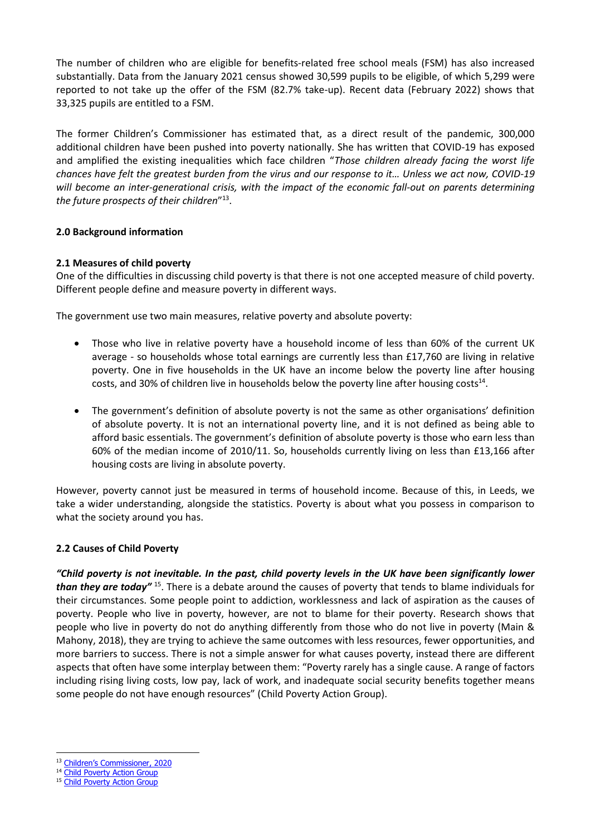The number of children who are eligible for benefits-related free school meals (FSM) has also increased substantially. Data from the January 2021 census showed 30,599 pupils to be eligible, of which 5,299 were reported to not take up the offer of the FSM (82.7% take-up). Recent data (February 2022) shows that 33,325 pupils are entitled to a FSM.

The former Children's Commissioner has estimated that, as a direct result of the pandemic, 300,000 additional children have been pushed into poverty nationally. She has written that COVID-19 has exposed and amplified the existing inequalities which face children "*Those children already facing the worst life chances have felt the greatest burden from the virus and our response to it… Unless we act now, COVID-19 will become an inter-generational crisis, with the impact of the economic fall-out on parents determining the future prospects of their children*" 13 .

#### **2.0 Background information**

#### **2.1 Measures of child poverty**

One of the difficulties in discussing child poverty is that there is not one accepted measure of child poverty. Different people define and measure poverty in different ways.

The government use two main measures, relative poverty and absolute poverty:

- Those who live in relative poverty have a household income of less than 60% of the current UK average - so households whose total earnings are currently less than £17,760 are living in relative poverty. One in five households in the UK have an income below the poverty line after housing costs, and 30% of children live in households below the poverty line after housing costs<sup>14</sup>.
- The government's definition of absolute poverty is not the same as other organisations' definition of absolute poverty. It is not an international poverty line, and it is not defined as being able to afford basic essentials. The government's definition of absolute poverty is those who earn less than 60% of the median income of 2010/11. So, households currently living on less than £13,166 after housing costs are living in absolute poverty.

However, poverty cannot just be measured in terms of household income. Because of this, in Leeds, we take a wider understanding, alongside the statistics. Poverty is about what you possess in comparison to what the society around you has.

#### **2.2 Causes of Child Poverty**

*"Child poverty is not inevitable. In the past, child poverty levels in the UK have been significantly lower* than they are today<sup>" 15</sup>. There is a debate around the causes of poverty that tends to blame individuals for their circumstances. Some people point to addiction, worklessness and lack of aspiration as the causes of poverty. People who live in poverty, however, are not to blame for their poverty. Research shows that people who live in poverty do not do anything differently from those who do not live in poverty (Main & Mahony, 2018), they are trying to achieve the same outcomes with less resources, fewer opportunities, and more barriers to success. There is not a simple answer for what causes poverty, instead there are different aspects that often have some interplay between them: "Poverty rarely has a single cause. A range of factors including rising living costs, low pay, lack of work, and inadequate social security benefits together means some people do not have enough resources" ([Child Poverty Action Group\)](https://cpag.org.uk/child-poverty/causes-poverty).

<sup>&</sup>lt;sup>13</sup> Children's C[ommissioner,](https://www.childrenscommissioner.gov.uk/wp-content/uploads/2020/09/cco-childhood-in-the-time-of-covid.pdf) 2020

<sup>&</sup>lt;sup>14</sup> [Child Poverty Action Group](https://cpag.org.uk/child-poverty/measuring-poverty)

<sup>&</sup>lt;sup>15</sup> [Child Poverty Action Group](https://cpag.org.uk/child-poverty/solutions-poverty)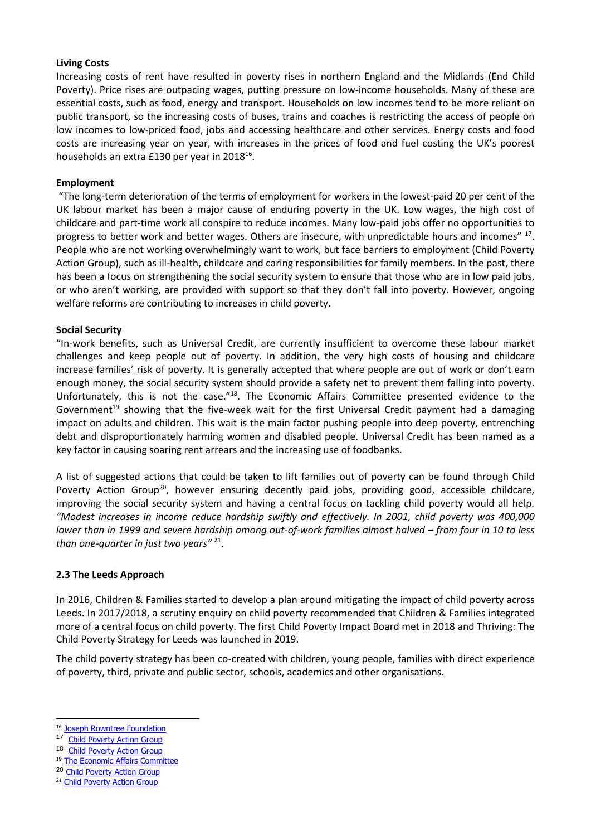#### **Living Costs**

Increasing costs of rent have resulted in poverty rises in northern England and the Midlands (End Child Poverty). Price rises are outpacing wages, putting pressure on low-income households. Many of these are essential costs, such as food, energy and transport. Households on low incomes tend to be more reliant on public transport, so the increasing costs of buses, trains and coaches is restricting the access of people on low incomes to low-priced food, jobs and accessing healthcare and other services. Energy costs and food costs are increasing year on year, with increases in the prices of food and fuel costing the UK's poorest households an extra £130 per year in 2018<sup>16</sup>.

#### **Employment**

"The long-term deterioration of the terms of employment for workers in the lowest-paid 20 per cent of the UK labour market has been a major cause of enduring poverty in the UK. Low wages, the high cost of childcare and part-time work all conspire to reduce incomes. Many low-paid jobs offer no opportunities to progress to better work and better wages. Others are insecure, with unpredictable hours and incomes" <sup>17</sup>. People who are not working overwhelmingly want to work, but face barriers to employment (Child Poverty Action Group), such as ill-health, childcare and caring responsibilities for family members. In the past, there has been a focus on strengthening the social security system to ensure that those who are in low paid jobs, or who aren't working, are provided with support so that they don't fall into poverty. However, ongoing welfare reforms are contributing to increases in child poverty.

#### **Social Security**

"In-work benefits, such as Universal Credit, are currently insufficient to overcome these labour market challenges and keep people out of poverty. In addition, the very high costs of housing and childcare increase families' risk of poverty. It is generally accepted that where people are out of work or don't earn enough money, the social security system should provide a safety net to prevent them falling into poverty. Unfortunately, this is not the case."<sup>18</sup>. The Economic Affairs Committee presented evidence to the Government<sup>19</sup> showing that the five-week wait for the first Universal Credit payment had a damaging impact on adults and children. This wait is the main factor pushing people into deep poverty, entrenching debt and disproportionately harming women and disabled people. Universal Credit has been named as a key factor in causing soaring rent arrears and the increasing use of foodbanks.

A list of suggested actions that could be taken to lift families out of poverty can be found through Child Poverty Action Group<sup>20</sup>, however ensuring decently paid jobs, providing good, accessible childcare, improving the social security system and having a central focus on tackling child poverty would all help*. "Modest increases in income reduce hardship swiftly and effectively. In 2001, child poverty was 400,000 lower than in 1999 and severe hardship among out-of-work families almost halved – from four in 10 to less than one-quarter in just two years"* <sup>21</sup> .

#### **2.3 The Leeds Approach**

 **I**n 2016, Children & Families started to develop a plan around mitigating the impact of child poverty across Leeds. In 2017/2018, a scrutiny enquiry on child poverty recommended that Children & Families integrated more of a central focus on child poverty. The first Child Poverty Impact Board met in 2018 and Thriving: The Child Poverty Strategy for Leeds was launched in 2019.

The child poverty strategy has been co-created with children, young people, families with direct experience of poverty, third, private and public sector, schools, academics and other organisations.

<sup>19</sup> [The Economic Affairs Committee](https://publications.parliament.uk/pa/ld5801/ldselect/ldeconaf/105/10502.htm)

<sup>21</sup> [Child Poverty Action Group](https://cpag.org.uk/child-poverty/solutions-poverty)

<sup>&</sup>lt;sup>16</sup> [Joseph Rowntree Foundation](https://www.jrf.org.uk/blog/rising-cost-living-will-hit-low-income-households-hard-2018)

<sup>17</sup> [Child Poverty Action Group](https://cpag.org.uk/child-poverty/solutions-poverty)

<sup>18</sup> Child [Poverty Action Group](https://cpag.org.uk/child-poverty/solutions-poverty)

<sup>20</sup> Child Poverty Action Group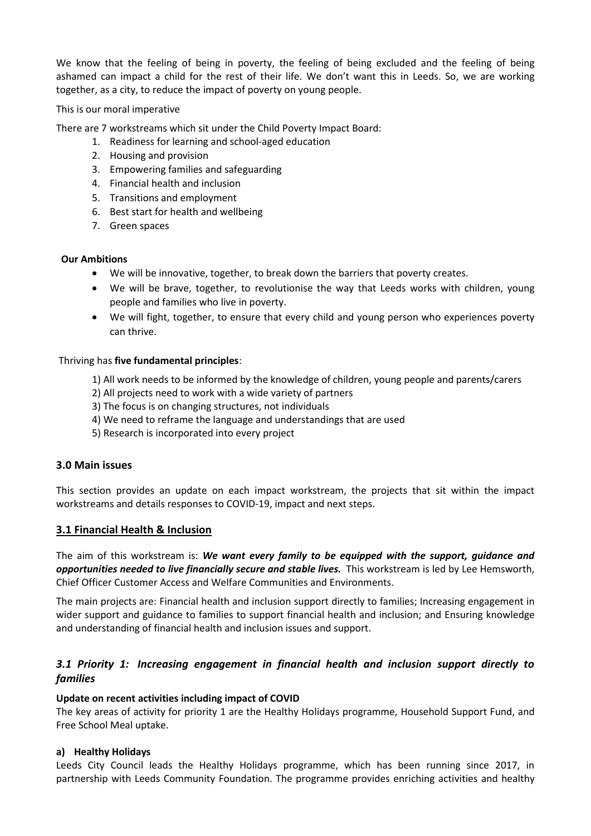We know that the feeling of being in poverty, the feeling of being excluded and the feeling of being ashamed can impact a child for the rest of their life. We don't want this in Leeds. So, we are working together, as a city, to reduce the impact of poverty on young people.

#### This is our moral imperative

There are 7 workstreams which sit under the Child Poverty Impact Board:

- 1. Readiness for learning and school-aged education
- 2. Housing and provision
- 3. Empowering families and safeguarding
- 4. Financial health and inclusion
- 5. Transitions and employment
- 6. Best start for health and wellbeing
- 7. Green spaces

#### **Our Ambitions**

- We will be innovative, together, to break down the barriers that poverty creates.
- We will be brave, together, to revolutionise the way that Leeds works with children, young people and families who live in poverty.
- We will fight, together, to ensure that every child and young person who experiences poverty can thrive.

#### Thriving has **five fundamental principles**:

- 1) All work needs to be informed by the knowledge of children, young people and parents/carers
- 2) All projects need to work with a wide variety of partners
- 3) The focus is on changing structures, not individuals
- 4) We need to reframe the language and understandings that are used
- 5) Research is incorporated into every project

#### **3.0 Main issues**

This section provides an update on each impact workstream, the projects that sit within the impact workstreams and details responses to COVID-19, impact and next steps.

#### **3.1 Financial Health & Inclusion**

The aim of this workstream is: *We want every family to be equipped with the support, guidance and opportunities needed to live financially secure and stable lives.* This workstream is led by Lee Hemsworth, Chief Officer Customer Access and Welfare Communities and Environments.

The main projects are: Financial health and inclusion support directly to families; Increasing engagement in wider support and guidance to families to support financial health and inclusion; and Ensuring knowledge and understanding of financial health and inclusion issues and support.

## *3.1 Priority 1: Increasing engagement in financial health and inclusion support directly to families*

#### **Update on recent activities including impact of COVID**

The key areas of activity for priority 1 are the Healthy Holidays programme, Household Support Fund, and Free School Meal uptake.

#### **a) Healthy Holidays**

Leeds City Council leads the Healthy Holidays programme, which has been running since 2017, in partnership with Leeds Community Foundation. The programme provides enriching activities and healthy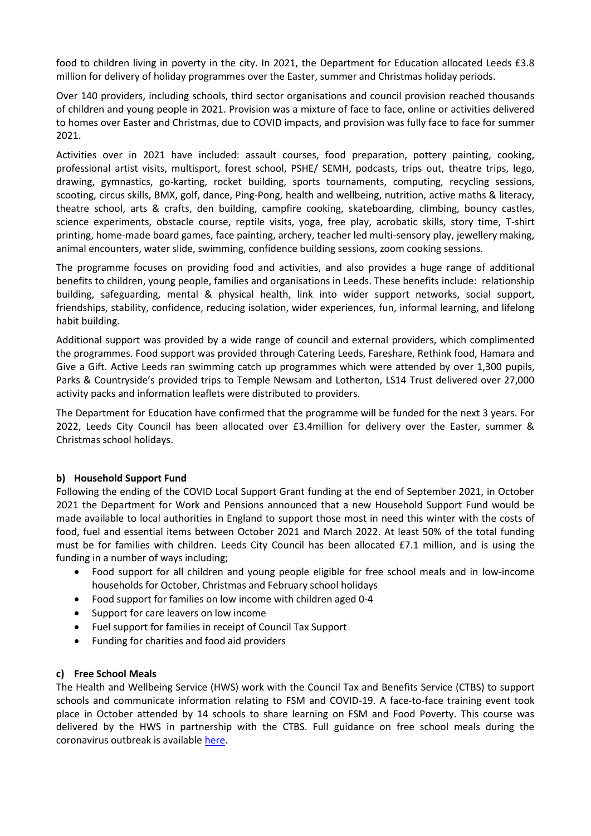food to children living in poverty in the city. In 2021, the Department for Education allocated Leeds £3.8 million for delivery of holiday programmes over the Easter, summer and Christmas holiday periods.

Over 140 providers, including schools, third sector organisations and council provision reached thousands of children and young people in 2021. Provision was a mixture of face to face, online or activities delivered to homes over Easter and Christmas, due to COVID impacts, and provision was fully face to face for summer 2021.

Activities over in 2021 have included: assault courses, food preparation, pottery painting, cooking, professional artist visits, multisport, forest school, PSHE/ SEMH, podcasts, trips out, theatre trips, lego, drawing, gymnastics, go-karting, rocket building, sports tournaments, computing, recycling sessions, scooting, circus skills, BMX, golf, dance, Ping-Pong, health and wellbeing, nutrition, active maths & literacy, theatre school, arts & crafts, den building, campfire cooking, skateboarding, climbing, bouncy castles, science experiments, obstacle course, reptile visits, yoga, free play, acrobatic skills, story time, T-shirt printing, home-made board games, face painting, archery, teacher led multi-sensory play, jewellery making, animal encounters, water slide, swimming, confidence building sessions, zoom cooking sessions.

The programme focuses on providing food and activities, and also provides a huge range of additional benefits to children, young people, families and organisations in Leeds. These benefits include: relationship building, safeguarding, mental & physical health, link into wider support networks, social support, friendships, stability, confidence, reducing isolation, wider experiences, fun, informal learning, and lifelong habit building.

Additional support was provided by a wide range of council and external providers, which complimented the programmes. Food support was provided through Catering Leeds, Fareshare, Rethink food, Hamara and Give a Gift. Active Leeds ran swimming catch up programmes which were attended by over 1,300 pupils, Parks & Countryside's provided trips to Temple Newsam and Lotherton, LS14 Trust delivered over 27,000 activity packs and information leaflets were distributed to providers.

The Department for Education have confirmed that the programme will be funded for the next 3 years. For 2022, Leeds City Council has been allocated over £3.4million for delivery over the Easter, summer & Christmas school holidays.

#### **b) Household Support Fund**

Following the ending of the COVID Local Support Grant funding at the end of September 2021, in October 2021 the Department for Work and Pensions announced that a new Household Support Fund would be made available to local authorities in England to support those most in need this winter with the costs of food, fuel and essential items between October 2021 and March 2022. At least 50% of the total funding must be for families with children. Leeds City Council has been allocated £7.1 million, and is using the funding in a number of ways including;

- Food support for all children and young people eligible for free school meals and in low-income households for October, Christmas and February school holidays
- Food support for families on low income with children aged 0-4
- Support for care leavers on low income
- Fuel support for families in receipt of Council Tax Support
- Funding for charities and food aid providers

#### **c) Free School Meals**

The Health and Wellbeing Service (HWS) work with the Council Tax and Benefits Service (CTBS) to support schools and communicate information relating to FSM and COVID-19. A face-to-face training event took place in October attended by 14 schools to share learning on FSM and Food Poverty. This course was delivered by the HWS in partnership with the CTBS. Full guidance on free school meals during the coronavirus outbreak is available [here.](https://www.gov.uk/government/publications/covid-19-free-school-meals-guidance/covid-19-free-school-meals-guidance-for-schools#covid-winter-grant-scheme)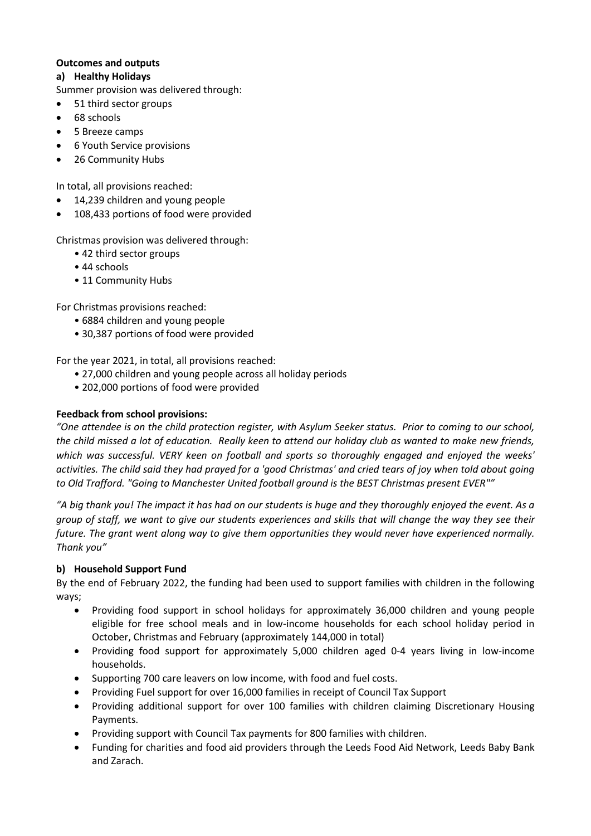#### **Outcomes and outputs**

#### **a) Healthy Holidays**

Summer provision was delivered through:

- 51 third sector groups
- 68 schools
- 5 Breeze camps
- 6 Youth Service provisions
- 26 Community Hubs

In total, all provisions reached:

- 14,239 children and young people
- 108,433 portions of food were provided

Christmas provision was delivered through:

- 42 third sector groups
- 44 schools
- 11 Community Hubs

For Christmas provisions reached:

- 6884 children and young people
- 30,387 portions of food were provided

For the year 2021, in total, all provisions reached:

- 27,000 children and young people across all holiday periods
- 202,000 portions of food were provided

#### **Feedback from school provisions:**

*"One attendee is on the child protection register, with Asylum Seeker status. Prior to coming to our school, the child missed a lot of education. Really keen to attend our holiday club as wanted to make new friends, which was successful. VERY keen on football and sports so thoroughly engaged and enjoyed the weeks' activities. The child said they had prayed for a 'good Christmas' and cried tears of joy when told about going to Old Trafford. "Going to Manchester United football ground is the BEST Christmas present EVER""*

*"A big thank you! The impact it has had on our students is huge and they thoroughly enjoyed the event. As a group of staff, we want to give our students experiences and skills that will change the way they see their future. The grant went along way to give them opportunities they would never have experienced normally. Thank you"*

#### **b) Household Support Fund**

By the end of February 2022, the funding had been used to support families with children in the following ways;

- Providing food support in school holidays for approximately 36,000 children and young people eligible for free school meals and in low-income households for each school holiday period in October, Christmas and February (approximately 144,000 in total)
- Providing food support for approximately 5,000 children aged 0-4 years living in low-income households.
- Supporting 700 care leavers on low income, with food and fuel costs.
- Providing Fuel support for over 16,000 families in receipt of Council Tax Support
- Providing additional support for over 100 families with children claiming Discretionary Housing Payments.
- Providing support with Council Tax payments for 800 families with children.
- Funding for charities and food aid providers through the Leeds Food Aid Network, Leeds Baby Bank and Zarach.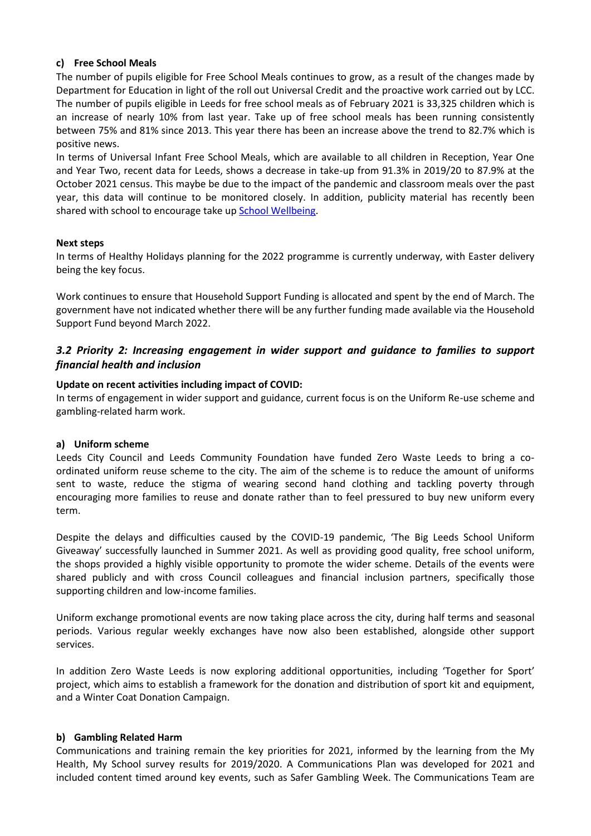#### **c) Free School Meals**

The number of pupils eligible for Free School Meals continues to grow, as a result of the changes made by Department for Education in light of the roll out Universal Credit and the proactive work carried out by LCC. The number of pupils eligible in Leeds for free school meals as of February 2021 is 33,325 children which is an increase of nearly 10% from last year. Take up of free school meals has been running consistently between 75% and 81% since 2013. This year there has been an increase above the trend to 82.7% which is positive news.

In terms of Universal Infant Free School Meals, which are available to all children in Reception, Year One and Year Two, recent data for Leeds, shows a decrease in take-up from 91.3% in 2019/20 to 87.9% at the October 2021 census. This maybe be due to the impact of the pandemic and classroom meals over the past year, this data will continue to be monitored closely. In addition, publicity material has recently been shared with school to encourage take up [School Wellbeing.](https://www.schoolwellbeing.co.uk/resources/a-quick-guide-to-increase-your-take-up-of-school-meals)

#### **Next steps**

In terms of Healthy Holidays planning for the 2022 programme is currently underway, with Easter delivery being the key focus.

Work continues to ensure that Household Support Funding is allocated and spent by the end of March. The government have not indicated whether there will be any further funding made available via the Household Support Fund beyond March 2022.

## *3.2 Priority 2: Increasing engagement in wider support and guidance to families to support financial health and inclusion*

#### **Update on recent activities including impact of COVID:**

In terms of engagement in wider support and guidance, current focus is on the Uniform Re-use scheme and gambling-related harm work.

#### **a) Uniform scheme**

Leeds City Council and Leeds Community Foundation have funded Zero Waste Leeds to bring a coordinated uniform reuse scheme to the city. The aim of the scheme is to reduce the amount of uniforms sent to waste, reduce the stigma of wearing second hand clothing and tackling poverty through encouraging more families to reuse and donate rather than to feel pressured to buy new uniform every term.

Despite the delays and difficulties caused by the COVID-19 pandemic, 'The Big Leeds School Uniform Giveaway' successfully launched in Summer 2021. As well as providing good quality, free school uniform, the shops provided a highly visible opportunity to promote the wider scheme. Details of the events were shared publicly and with cross Council colleagues and financial inclusion partners, specifically those supporting children and low-income families.

Uniform exchange promotional events are now taking place across the city, during half terms and seasonal periods. Various regular weekly exchanges have now also been established, alongside other support services.

In addition Zero Waste Leeds is now exploring additional opportunities, including 'Together for Sport' project, which aims to establish a framework for the donation and distribution of sport kit and equipment, and a Winter Coat Donation Campaign.

#### **b) Gambling Related Harm**

Communications and training remain the key priorities for 2021, informed by the learning from the My Health, My School survey results for 2019/2020. A Communications Plan was developed for 2021 and included content timed around key events, such as Safer Gambling Week. The Communications Team are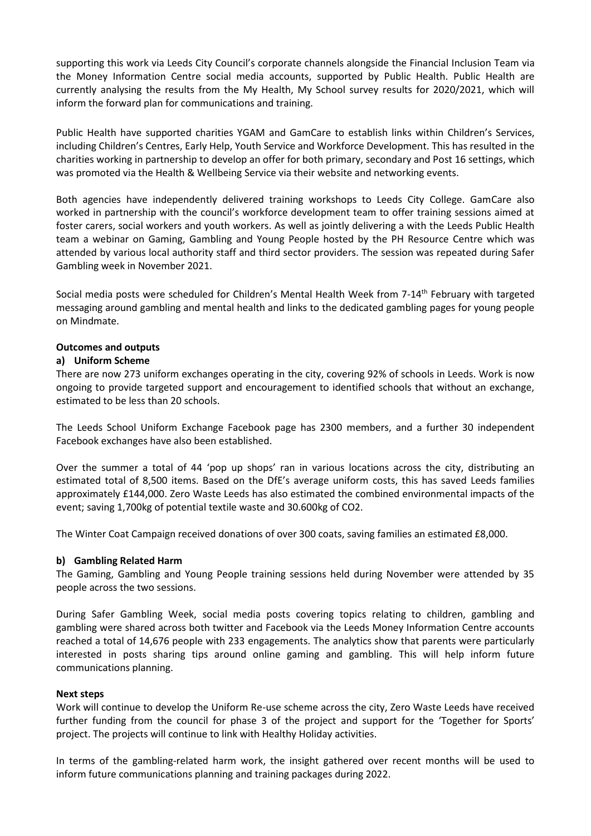supporting this work via Leeds City Council's corporate channels alongside the Financial Inclusion Team via the Money Information Centre social media accounts, supported by Public Health. Public Health are currently analysing the results from the My Health, My School survey results for 2020/2021, which will inform the forward plan for communications and training.

Public Health have supported charities YGAM and GamCare to establish links within Children's Services, including Children's Centres, Early Help, Youth Service and Workforce Development. This has resulted in the charities working in partnership to develop an offer for both primary, secondary and Post 16 settings, which was promoted via the Health & Wellbeing Service via their website and networking events.

Both agencies have independently delivered training workshops to Leeds City College. GamCare also worked in partnership with the council's workforce development team to offer training sessions aimed at foster carers, social workers and youth workers. As well as jointly delivering a with the Leeds Public Health team a webinar on Gaming, Gambling and Young People hosted by the PH Resource Centre which was attended by various local authority staff and third sector providers. The session was repeated during Safer Gambling week in November 2021.

Social media posts were scheduled for Children's Mental Health Week from 7-14<sup>th</sup> February with targeted messaging around gambling and mental health and links to the dedicated gambling pages for young people on Mindmate.

#### **Outcomes and outputs**

#### **a) Uniform Scheme**

There are now 273 uniform exchanges operating in the city, covering 92% of schools in Leeds. Work is now ongoing to provide targeted support and encouragement to identified schools that without an exchange, estimated to be less than 20 schools.

The Leeds School Uniform Exchange Facebook page has 2300 members, and a further 30 independent Facebook exchanges have also been established.

Over the summer a total of 44 'pop up shops' ran in various locations across the city, distributing an estimated total of 8,500 items. Based on the DfE's average uniform costs, this has saved Leeds families approximately £144,000. Zero Waste Leeds has also estimated the combined environmental impacts of the event; saving 1,700kg of potential textile waste and 30.600kg of CO2.

The Winter Coat Campaign received donations of over 300 coats, saving families an estimated £8,000.

#### **b) Gambling Related Harm**

The Gaming, Gambling and Young People training sessions held during November were attended by 35 people across the two sessions.

During Safer Gambling Week, social media posts covering topics relating to children, gambling and gambling were shared across both twitter and Facebook via the Leeds Money Information Centre accounts reached a total of 14,676 people with 233 engagements. The analytics show that parents were particularly interested in posts sharing tips around online gaming and gambling. This will help inform future communications planning.

#### **Next steps**

Work will continue to develop the Uniform Re-use scheme across the city, Zero Waste Leeds have received further funding from the council for phase 3 of the project and support for the 'Together for Sports' project. The projects will continue to link with Healthy Holiday activities.

In terms of the gambling-related harm work, the insight gathered over recent months will be used to inform future communications planning and training packages during 2022.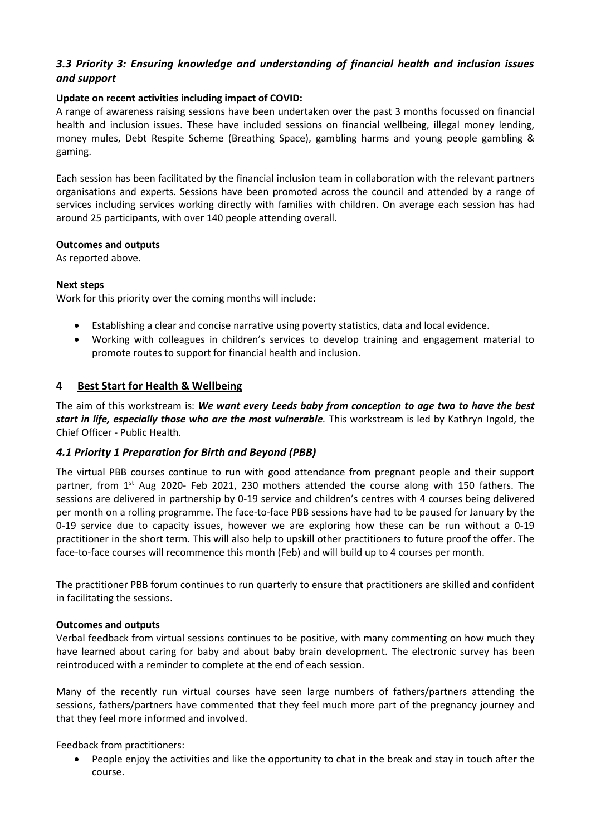## *3.3 Priority 3: Ensuring knowledge and understanding of financial health and inclusion issues and support*

#### **Update on recent activities including impact of COVID:**

A range of awareness raising sessions have been undertaken over the past 3 months focussed on financial health and inclusion issues. These have included sessions on financial wellbeing, illegal money lending, money mules, Debt Respite Scheme (Breathing Space), gambling harms and young people gambling & gaming.

Each session has been facilitated by the financial inclusion team in collaboration with the relevant partners organisations and experts. Sessions have been promoted across the council and attended by a range of services including services working directly with families with children. On average each session has had around 25 participants, with over 140 people attending overall.

#### **Outcomes and outputs**

As reported above.

#### **Next steps**

Work for this priority over the coming months will include:

- Establishing a clear and concise narrative using poverty statistics, data and local evidence.
- Working with colleagues in children's services to develop training and engagement material to promote routes to support for financial health and inclusion.

#### **4 Best Start for Health & Wellbeing**

The aim of this workstream is: *We want every Leeds baby from conception to age two to have the best start in life, especially those who are the most vulnerable.* This workstream is led by Kathryn Ingold, the Chief Officer - Public Health.

#### *4.1 Priority 1 Preparation for Birth and Beyond (PBB)*

The virtual PBB courses continue to run with good attendance from pregnant people and their support partner, from 1<sup>st</sup> Aug 2020- Feb 2021, 230 mothers attended the course along with 150 fathers. The sessions are delivered in partnership by 0-19 service and children's centres with 4 courses being delivered per month on a rolling programme. The face-to-face PBB sessions have had to be paused for January by the 0-19 service due to capacity issues, however we are exploring how these can be run without a 0-19 practitioner in the short term. This will also help to upskill other practitioners to future proof the offer. The face-to-face courses will recommence this month (Feb) and will build up to 4 courses per month.

The practitioner PBB forum continues to run quarterly to ensure that practitioners are skilled and confident in facilitating the sessions.

#### **Outcomes and outputs**

Verbal feedback from virtual sessions continues to be positive, with many commenting on how much they have learned about caring for baby and about baby brain development. The electronic survey has been reintroduced with a reminder to complete at the end of each session.

Many of the recently run virtual courses have seen large numbers of fathers/partners attending the sessions, fathers/partners have commented that they feel much more part of the pregnancy journey and that they feel more informed and involved.

Feedback from practitioners:

• People enjoy the activities and like the opportunity to chat in the break and stay in touch after the course.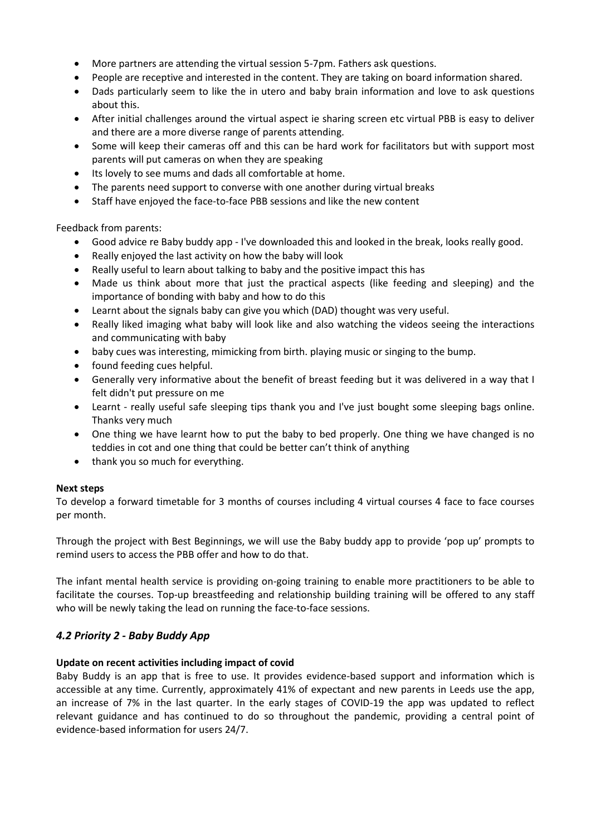- More partners are attending the virtual session 5-7pm. Fathers ask questions.
- People are receptive and interested in the content. They are taking on board information shared.
- Dads particularly seem to like the in utero and baby brain information and love to ask questions about this.
- After initial challenges around the virtual aspect ie sharing screen etc virtual PBB is easy to deliver and there are a more diverse range of parents attending.
- Some will keep their cameras off and this can be hard work for facilitators but with support most parents will put cameras on when they are speaking
- Its lovely to see mums and dads all comfortable at home.
- The parents need support to converse with one another during virtual breaks
- Staff have enjoyed the face-to-face PBB sessions and like the new content

Feedback from parents:

- Good advice re Baby buddy app I've downloaded this and looked in the break, looks really good.
- Really enjoyed the last activity on how the baby will look
- Really useful to learn about talking to baby and the positive impact this has
- Made us think about more that just the practical aspects (like feeding and sleeping) and the importance of bonding with baby and how to do this
- Learnt about the signals baby can give you which (DAD) thought was very useful.
- Really liked imaging what baby will look like and also watching the videos seeing the interactions and communicating with baby
- baby cues was interesting, mimicking from birth. playing music or singing to the bump.
- found feeding cues helpful.
- Generally very informative about the benefit of breast feeding but it was delivered in a way that I felt didn't put pressure on me
- Learnt really useful safe sleeping tips thank you and I've just bought some sleeping bags online. Thanks very much
- One thing we have learnt how to put the baby to bed properly. One thing we have changed is no teddies in cot and one thing that could be better can't think of anything
- thank you so much for everything.

#### **Next steps**

To develop a forward timetable for 3 months of courses including 4 virtual courses 4 face to face courses per month.

Through the project with Best Beginnings, we will use the Baby buddy app to provide 'pop up' prompts to remind users to access the PBB offer and how to do that.

The infant mental health service is providing on-going training to enable more practitioners to be able to facilitate the courses. Top-up breastfeeding and relationship building training will be offered to any staff who will be newly taking the lead on running the face-to-face sessions.

#### *4.2 Priority 2 - Baby Buddy App*

#### **Update on recent activities including impact of covid**

Baby Buddy is an app that is free to use. It provides evidence-based support and information which is accessible at any time. Currently, approximately 41% of expectant and new parents in Leeds use the app, an increase of 7% in the last quarter. In the early stages of COVID-19 the app was updated to reflect relevant guidance and has continued to do so throughout the pandemic, providing a central point of evidence-based information for users 24/7.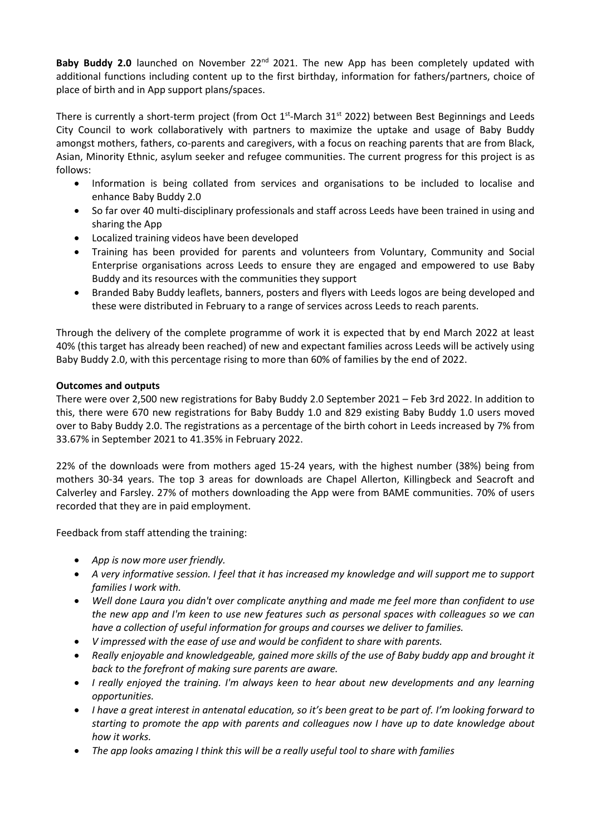**Baby Buddy 2.0** launched on November 22<sup>nd</sup> 2021. The new App has been completely updated with additional functions including content up to the first birthday, information for fathers/partners, choice of place of birth and in App support plans/spaces.

There is currently a short-term project (from Oct  $1^{st}$ -March 31 $^{st}$  2022) between Best Beginnings and Leeds City Council to work collaboratively with partners to maximize the uptake and usage of Baby Buddy amongst mothers, fathers, co-parents and caregivers, with a focus on reaching parents that are from Black, Asian, Minority Ethnic, asylum seeker and refugee communities. The current progress for this project is as follows:

- Information is being collated from services and organisations to be included to localise and enhance Baby Buddy 2.0
- So far over 40 multi-disciplinary professionals and staff across Leeds have been trained in using and sharing the App
- Localized training videos have been developed
- Training has been provided for parents and volunteers from Voluntary, Community and Social Enterprise organisations across Leeds to ensure they are engaged and empowered to use Baby Buddy and its resources with the communities they support
- Branded Baby Buddy leaflets, banners, posters and flyers with Leeds logos are being developed and these were distributed in February to a range of services across Leeds to reach parents.

Through the delivery of the complete programme of work it is expected that by end March 2022 at least 40% (this target has already been reached) of new and expectant families across Leeds will be actively using Baby Buddy 2.0, with this percentage rising to more than 60% of families by the end of 2022.

#### **Outcomes and outputs**

There were over 2,500 new registrations for Baby Buddy 2.0 September 2021 – Feb 3rd 2022. In addition to this, there were 670 new registrations for Baby Buddy 1.0 and 829 existing Baby Buddy 1.0 users moved over to Baby Buddy 2.0. The registrations as a percentage of the birth cohort in Leeds increased by 7% from 33.67% in September 2021 to 41.35% in February 2022.

22% of the downloads were from mothers aged 15-24 years, with the highest number (38%) being from mothers 30-34 years. The top 3 areas for downloads are Chapel Allerton, Killingbeck and Seacroft and Calverley and Farsley. 27% of mothers downloading the App were from BAME communities. 70% of users recorded that they are in paid employment.

Feedback from staff attending the training:

- *App is now more user friendly.*
- *A very informative session. I feel that it has increased my knowledge and will support me to support families I work with.*
- *Well done Laura you didn't over complicate anything and made me feel more than confident to use the new app and I'm keen to use new features such as personal spaces with colleagues so we can have a collection of useful information for groups and courses we deliver to families.*
- *V impressed with the ease of use and would be confident to share with parents.*
- *Really enjoyable and knowledgeable, gained more skills of the use of Baby buddy app and brought it back to the forefront of making sure parents are aware.*
- *I really enjoyed the training. I'm always keen to hear about new developments and any learning opportunities.*
- *I have a great interest in antenatal education, so it's been great to be part of. I'm looking forward to starting to promote the app with parents and colleagues now I have up to date knowledge about how it works.*
- *The app looks amazing I think this will be a really useful tool to share with families*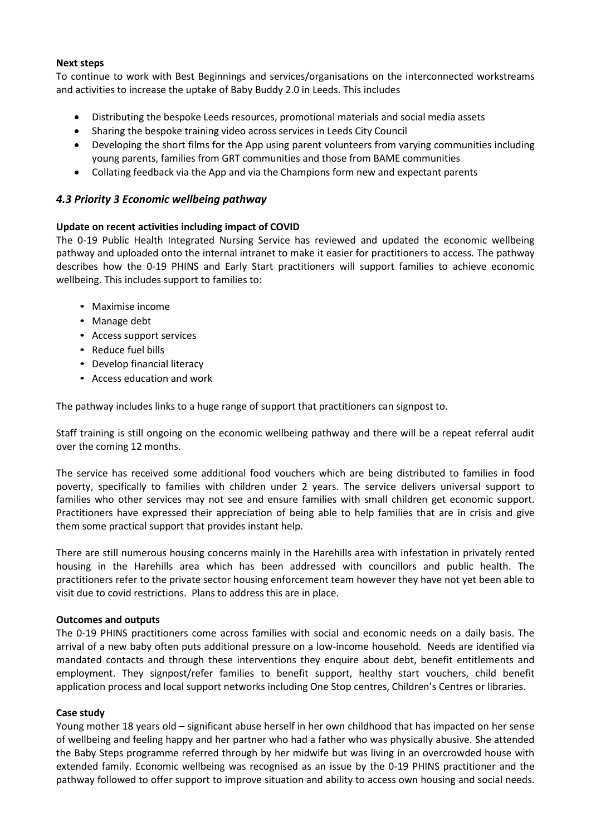#### **Next steps**

To continue to work with Best Beginnings and services/organisations on the interconnected workstreams and activities to increase the uptake of Baby Buddy 2.0 in Leeds. This includes

- Distributing the bespoke Leeds resources, promotional materials and social media assets
- Sharing the bespoke training video across services in Leeds City Council
- Developing the short films for the App using parent volunteers from varying communities including young parents, families from GRT communities and those from BAME communities
- Collating feedback via the App and via the Champions form new and expectant parents

#### *4.3 Priority 3 Economic wellbeing pathway*

#### **Update on recent activities including impact of COVID**

The 0-19 Public Health Integrated Nursing Service has reviewed and updated the economic wellbeing pathway and uploaded onto the internal intranet to make it easier for practitioners to access. The pathway describes how the 0-19 PHINS and Early Start practitioners will support families to achieve economic wellbeing. This includes support to families to:

- Maximise income
- Manage debt
- Access support services
- Reduce fuel bills
- Develop financial literacy
- Access education and work

The pathway includes links to a huge range of support that practitioners can signpost to.

Staff training is still ongoing on the economic wellbeing pathway and there will be a repeat referral audit over the coming 12 months.

The service has received some additional food vouchers which are being distributed to families in food poverty, specifically to families with children under 2 years. The service delivers universal support to families who other services may not see and ensure families with small children get economic support. Practitioners have expressed their appreciation of being able to help families that are in crisis and give them some practical support that provides instant help.

There are still numerous housing concerns mainly in the Harehills area with infestation in privately rented housing in the Harehills area which has been addressed with councillors and public health. The practitioners refer to the private sector housing enforcement team however they have not yet been able to visit due to covid restrictions. Plans to address this are in place.

#### **Outcomes and outputs**

The 0-19 PHINS practitioners come across families with social and economic needs on a daily basis. The arrival of a new baby often puts additional pressure on a low-income household. Needs are identified via mandated contacts and through these interventions they enquire about debt, benefit entitlements and employment. They signpost/refer families to benefit support, healthy start vouchers, child benefit application process and local support networks including One Stop centres, Children's Centres or libraries.

#### **Case study**

Young mother 18 years old – significant abuse herself in her own childhood that has impacted on her sense of wellbeing and feeling happy and her partner who had a father who was physically abusive. She attended the Baby Steps programme referred through by her midwife but was living in an overcrowded house with extended family. Economic wellbeing was recognised as an issue by the 0-19 PHINS practitioner and the pathway followed to offer support to improve situation and ability to access own housing and social needs.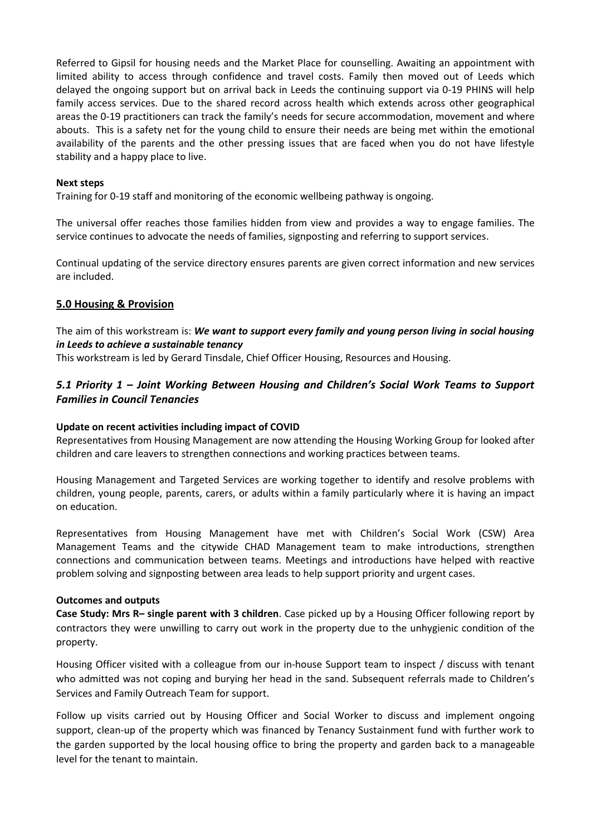Referred to Gipsil for housing needs and the Market Place for counselling. Awaiting an appointment with limited ability to access through confidence and travel costs. Family then moved out of Leeds which delayed the ongoing support but on arrival back in Leeds the continuing support via 0-19 PHINS will help family access services. Due to the shared record across health which extends across other geographical areas the 0-19 practitioners can track the family's needs for secure accommodation, movement and where abouts. This is a safety net for the young child to ensure their needs are being met within the emotional availability of the parents and the other pressing issues that are faced when you do not have lifestyle stability and a happy place to live.

#### **Next steps**

Training for 0-19 staff and monitoring of the economic wellbeing pathway is ongoing.

The universal offer reaches those families hidden from view and provides a way to engage families. The service continues to advocate the needs of families, signposting and referring to support services.

Continual updating of the service directory ensures parents are given correct information and new services are included.

#### **5.0 Housing & Provision**

The aim of this workstream is: *We want to support every family and young person living in social housing in Leeds to achieve a sustainable tenancy*

This workstream is led by Gerard Tinsdale, Chief Officer Housing, Resources and Housing.

## *5.1 Priority 1 – Joint Working Between Housing and Children's Social Work Teams to Support Families in Council Tenancies*

#### **Update on recent activities including impact of COVID**

Representatives from Housing Management are now attending the Housing Working Group for looked after children and care leavers to strengthen connections and working practices between teams.

Housing Management and Targeted Services are working together to identify and resolve problems with children, young people, parents, carers, or adults within a family particularly where it is having an impact on education.

Representatives from Housing Management have met with Children's Social Work (CSW) Area Management Teams and the citywide CHAD Management team to make introductions, strengthen connections and communication between teams. Meetings and introductions have helped with reactive problem solving and signposting between area leads to help support priority and urgent cases.

#### **Outcomes and outputs**

**Case Study: Mrs R– single parent with 3 children**. Case picked up by a Housing Officer following report by contractors they were unwilling to carry out work in the property due to the unhygienic condition of the property.

Housing Officer visited with a colleague from our in-house Support team to inspect / discuss with tenant who admitted was not coping and burying her head in the sand. Subsequent referrals made to Children's Services and Family Outreach Team for support.

Follow up visits carried out by Housing Officer and Social Worker to discuss and implement ongoing support, clean-up of the property which was financed by Tenancy Sustainment fund with further work to the garden supported by the local housing office to bring the property and garden back to a manageable level for the tenant to maintain.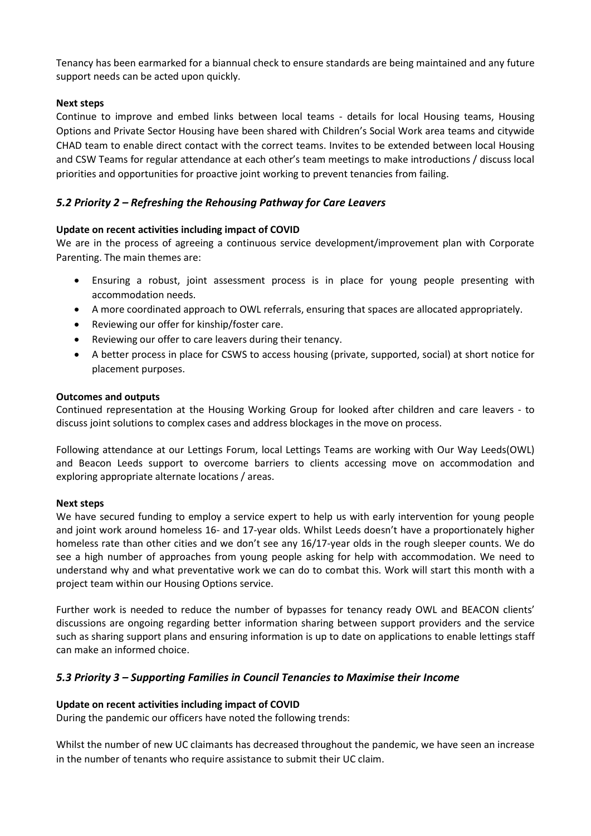Tenancy has been earmarked for a biannual check to ensure standards are being maintained and any future support needs can be acted upon quickly.

#### **Next steps**

Continue to improve and embed links between local teams - details for local Housing teams, Housing Options and Private Sector Housing have been shared with Children's Social Work area teams and citywide CHAD team to enable direct contact with the correct teams. Invites to be extended between local Housing and CSW Teams for regular attendance at each other's team meetings to make introductions / discuss local priorities and opportunities for proactive joint working to prevent tenancies from failing.

## *5.2 Priority 2 – Refreshing the Rehousing Pathway for Care Leavers*

#### **Update on recent activities including impact of COVID**

We are in the process of agreeing a continuous service development/improvement plan with Corporate Parenting. The main themes are:

- Ensuring a robust, joint assessment process is in place for young people presenting with accommodation needs.
- A more coordinated approach to OWL referrals, ensuring that spaces are allocated appropriately.
- Reviewing our offer for kinship/foster care.
- Reviewing our offer to care leavers during their tenancy.
- A better process in place for CSWS to access housing (private, supported, social) at short notice for placement purposes.

#### **Outcomes and outputs**

Continued representation at the Housing Working Group for looked after children and care leavers - to discuss joint solutions to complex cases and address blockages in the move on process.

Following attendance at our Lettings Forum, local Lettings Teams are working with Our Way Leeds(OWL) and Beacon Leeds support to overcome barriers to clients accessing move on accommodation and exploring appropriate alternate locations / areas.

#### **Next steps**

We have secured funding to employ a service expert to help us with early intervention for young people and joint work around homeless 16- and 17-year olds. Whilst Leeds doesn't have a proportionately higher homeless rate than other cities and we don't see any 16/17-year olds in the rough sleeper counts. We do see a high number of approaches from young people asking for help with accommodation. We need to understand why and what preventative work we can do to combat this. Work will start this month with a project team within our Housing Options service.

Further work is needed to reduce the number of bypasses for tenancy ready OWL and BEACON clients' discussions are ongoing regarding better information sharing between support providers and the service such as sharing support plans and ensuring information is up to date on applications to enable lettings staff can make an informed choice.

#### *5.3 Priority 3 – Supporting Families in Council Tenancies to Maximise their Income*

#### **Update on recent activities including impact of COVID**

During the pandemic our officers have noted the following trends:

Whilst the number of new UC claimants has decreased throughout the pandemic, we have seen an increase in the number of tenants who require assistance to submit their UC claim.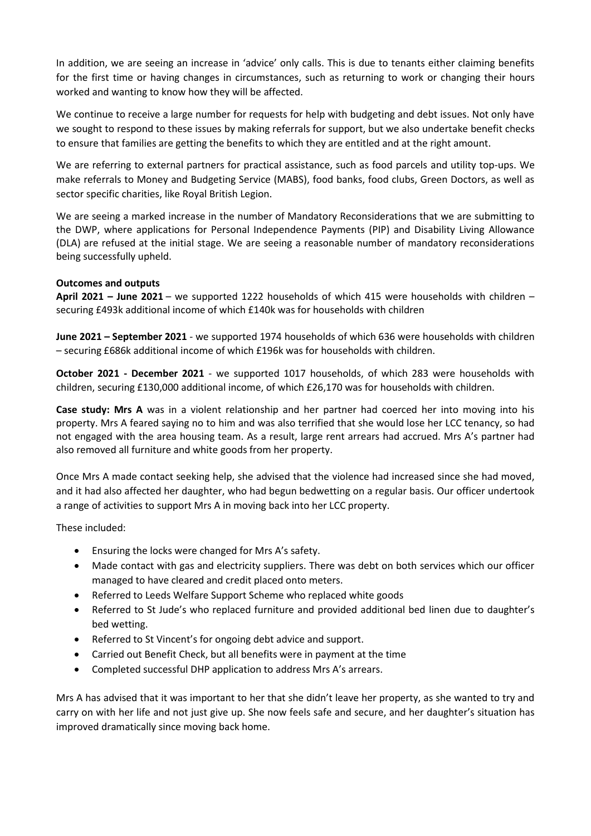In addition, we are seeing an increase in 'advice' only calls. This is due to tenants either claiming benefits for the first time or having changes in circumstances, such as returning to work or changing their hours worked and wanting to know how they will be affected.

We continue to receive a large number for requests for help with budgeting and debt issues. Not only have we sought to respond to these issues by making referrals for support, but we also undertake benefit checks to ensure that families are getting the benefits to which they are entitled and at the right amount.

We are referring to external partners for practical assistance, such as food parcels and utility top-ups. We make referrals to Money and Budgeting Service (MABS), food banks, food clubs, Green Doctors, as well as sector specific charities, like Royal British Legion.

We are seeing a marked increase in the number of Mandatory Reconsiderations that we are submitting to the DWP, where applications for Personal Independence Payments (PIP) and Disability Living Allowance (DLA) are refused at the initial stage. We are seeing a reasonable number of mandatory reconsiderations being successfully upheld.

#### **Outcomes and outputs**

**April 2021 – June 2021** – we supported 1222 households of which 415 were households with children – securing £493k additional income of which £140k was for households with children

**June 2021 – September 2021** - we supported 1974 households of which 636 were households with children – securing £686k additional income of which £196k was for households with children.

**October 2021 - December 2021** - we supported 1017 households, of which 283 were households with children, securing £130,000 additional income, of which £26,170 was for households with children.

**Case study: Mrs A** was in a violent relationship and her partner had coerced her into moving into his property. Mrs A feared saying no to him and was also terrified that she would lose her LCC tenancy, so had not engaged with the area housing team. As a result, large rent arrears had accrued. Mrs A's partner had also removed all furniture and white goods from her property.

Once Mrs A made contact seeking help, she advised that the violence had increased since she had moved, and it had also affected her daughter, who had begun bedwetting on a regular basis. Our officer undertook a range of activities to support Mrs A in moving back into her LCC property.

These included:

- Ensuring the locks were changed for Mrs A's safety.
- Made contact with gas and electricity suppliers. There was debt on both services which our officer managed to have cleared and credit placed onto meters.
- Referred to Leeds Welfare Support Scheme who replaced white goods
- Referred to St Jude's who replaced furniture and provided additional bed linen due to daughter's bed wetting.
- Referred to St Vincent's for ongoing debt advice and support.
- Carried out Benefit Check, but all benefits were in payment at the time
- Completed successful DHP application to address Mrs A's arrears.

Mrs A has advised that it was important to her that she didn't leave her property, as she wanted to try and carry on with her life and not just give up. She now feels safe and secure, and her daughter's situation has improved dramatically since moving back home.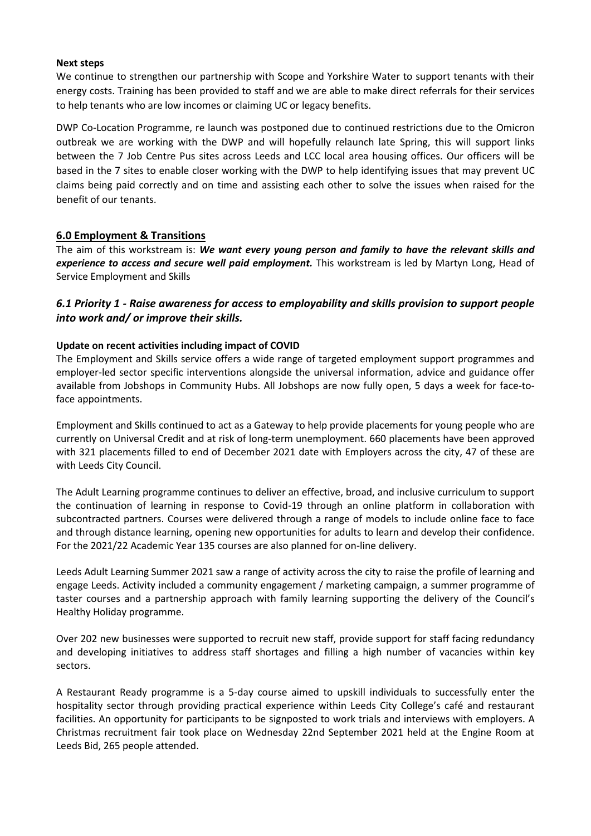#### **Next steps**

We continue to strengthen our partnership with Scope and Yorkshire Water to support tenants with their energy costs. Training has been provided to staff and we are able to make direct referrals for their services to help tenants who are low incomes or claiming UC or legacy benefits.

DWP Co-Location Programme, re launch was postponed due to continued restrictions due to the Omicron outbreak we are working with the DWP and will hopefully relaunch late Spring, this will support links between the 7 Job Centre Pus sites across Leeds and LCC local area housing offices. Our officers will be based in the 7 sites to enable closer working with the DWP to help identifying issues that may prevent UC claims being paid correctly and on time and assisting each other to solve the issues when raised for the benefit of our tenants.

#### **6.0 Employment & Transitions**

The aim of this workstream is: *We want every young person and family to have the relevant skills and experience to access and secure well paid employment.* This workstream is led by Martyn Long, Head of Service Employment and Skills

## *6.1 Priority 1 - Raise awareness for access to employability and skills provision to support people into work and/ or improve their skills.*

#### **Update on recent activities including impact of COVID**

The Employment and Skills service offers a wide range of targeted employment support programmes and employer-led sector specific interventions alongside the universal information, advice and guidance offer available from Jobshops in Community Hubs. All Jobshops are now fully open, 5 days a week for face-toface appointments.

Employment and Skills continued to act as a Gateway to help provide placements for young people who are currently on Universal Credit and at risk of long-term unemployment. 660 placements have been approved with 321 placements filled to end of December 2021 date with Employers across the city, 47 of these are with Leeds City Council.

The Adult Learning programme continues to deliver an effective, broad, and inclusive curriculum to support the continuation of learning in response to Covid-19 through an online platform in collaboration with subcontracted partners. Courses were delivered through a range of models to include online face to face and through distance learning, opening new opportunities for adults to learn and develop their confidence. For the 2021/22 Academic Year 135 courses are also planned for on-line delivery.

Leeds Adult Learning Summer 2021 saw a range of activity across the city to raise the profile of learning and engage Leeds. Activity included a community engagement / marketing campaign, a summer programme of taster courses and a partnership approach with family learning supporting the delivery of the Council's Healthy Holiday programme.

Over 202 new businesses were supported to recruit new staff, provide support for staff facing redundancy and developing initiatives to address staff shortages and filling a high number of vacancies within key sectors.

A Restaurant Ready programme is a 5-day course aimed to upskill individuals to successfully enter the hospitality sector through providing practical experience within Leeds City College's café and restaurant facilities. An opportunity for participants to be signposted to work trials and interviews with employers. A Christmas recruitment fair took place on Wednesday 22nd September 2021 held at the Engine Room at Leeds Bid, 265 people attended.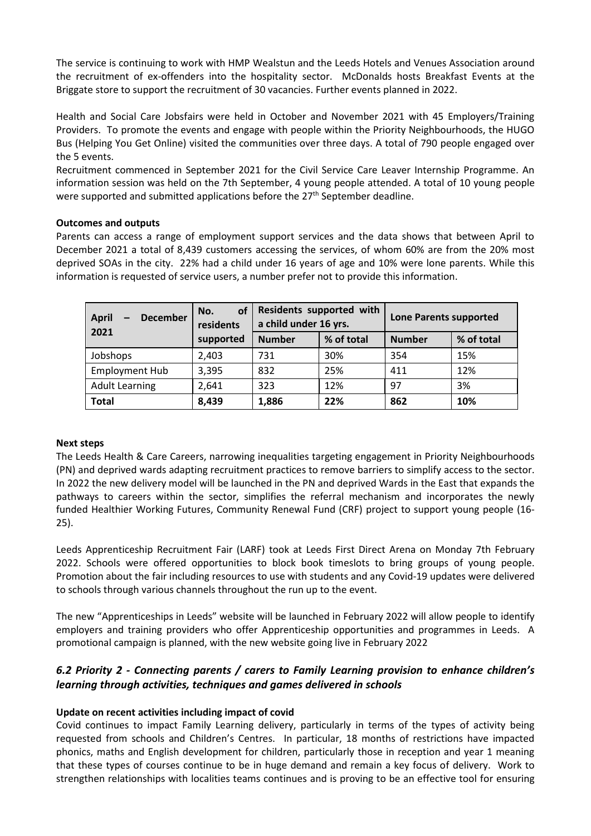The service is continuing to work with HMP Wealstun and the Leeds Hotels and Venues Association around the recruitment of ex-offenders into the hospitality sector. McDonalds hosts Breakfast Events at the Briggate store to support the recruitment of 30 vacancies. Further events planned in 2022.

Health and Social Care Jobsfairs were held in October and November 2021 with 45 Employers/Training Providers. To promote the events and engage with people within the Priority Neighbourhoods, the HUGO Bus (Helping You Get Online) visited the communities over three days. A total of 790 people engaged over the 5 events.

Recruitment commenced in September 2021 for the Civil Service Care Leaver Internship Programme. An information session was held on the 7th September, 4 young people attended. A total of 10 young people were supported and submitted applications before the 27<sup>th</sup> September deadline.

#### **Outcomes and outputs**

Parents can access a range of employment support services and the data shows that between April to December 2021 a total of 8,439 customers accessing the services, of whom 60% are from the 20% most deprived SOAs in the city. 22% had a child under 16 years of age and 10% were lone parents. While this information is requested of service users, a number prefer not to provide this information.

| <b>April</b><br><b>December</b><br>2021 | <b>of</b><br>No.<br>residents | Residents supported with<br>a child under 16 yrs. |            | <b>Lone Parents supported</b> |            |  |
|-----------------------------------------|-------------------------------|---------------------------------------------------|------------|-------------------------------|------------|--|
|                                         | supported                     | <b>Number</b>                                     | % of total | <b>Number</b>                 | % of total |  |
| Jobshops                                | 2,403                         | 731                                               | 30%        | 354                           | 15%        |  |
| <b>Employment Hub</b>                   | 3,395                         | 832                                               | 25%        | 411                           | 12%        |  |
| <b>Adult Learning</b>                   | 2,641                         | 323                                               | 12%        | 97                            | 3%         |  |
| <b>Total</b>                            | 8,439                         | 1,886                                             | 22%        | 862                           | 10%        |  |

#### **Next steps**

The Leeds Health & Care Careers, narrowing inequalities targeting engagement in Priority Neighbourhoods (PN) and deprived wards adapting recruitment practices to remove barriers to simplify access to the sector. In 2022 the new delivery model will be launched in the PN and deprived Wards in the East that expands the pathways to careers within the sector, simplifies the referral mechanism and incorporates the newly funded Healthier Working Futures, Community Renewal Fund (CRF) project to support young people (16- 25).

Leeds Apprenticeship Recruitment Fair (LARF) took at Leeds First Direct Arena on Monday 7th February 2022. Schools were offered opportunities to block book timeslots to bring groups of young people. Promotion about the fair including resources to use with students and any Covid-19 updates were delivered to schools through various channels throughout the run up to the event.

The new "Apprenticeships in Leeds" website will be launched in February 2022 will allow people to identify employers and training providers who offer Apprenticeship opportunities and programmes in Leeds. A promotional campaign is planned, with the new website going live in February 2022

## *6.2 Priority 2 - Connecting parents / carers to Family Learning provision to enhance children's learning through activities, techniques and games delivered in schools*

#### **Update on recent activities including impact of covid**

Covid continues to impact Family Learning delivery, particularly in terms of the types of activity being requested from schools and Children's Centres. In particular, 18 months of restrictions have impacted phonics, maths and English development for children, particularly those in reception and year 1 meaning that these types of courses continue to be in huge demand and remain a key focus of delivery. Work to strengthen relationships with localities teams continues and is proving to be an effective tool for ensuring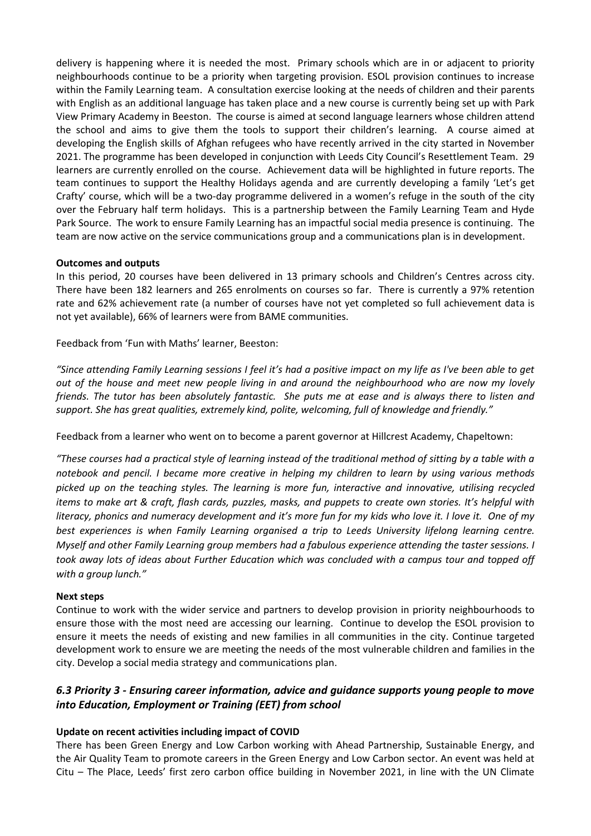delivery is happening where it is needed the most. Primary schools which are in or adjacent to priority neighbourhoods continue to be a priority when targeting provision. ESOL provision continues to increase within the Family Learning team. A consultation exercise looking at the needs of children and their parents with English as an additional language has taken place and a new course is currently being set up with Park View Primary Academy in Beeston. The course is aimed at second language learners whose children attend the school and aims to give them the tools to support their children's learning. A course aimed at developing the English skills of Afghan refugees who have recently arrived in the city started in November 2021. The programme has been developed in conjunction with Leeds City Council's Resettlement Team. 29 learners are currently enrolled on the course. Achievement data will be highlighted in future reports. The team continues to support the Healthy Holidays agenda and are currently developing a family 'Let's get Crafty' course, which will be a two-day programme delivered in a women's refuge in the south of the city over the February half term holidays. This is a partnership between the Family Learning Team and Hyde Park Source. The work to ensure Family Learning has an impactful social media presence is continuing. The team are now active on the service communications group and a communications plan is in development.

#### **Outcomes and outputs**

In this period, 20 courses have been delivered in 13 primary schools and Children's Centres across city. There have been 182 learners and 265 enrolments on courses so far. There is currently a 97% retention rate and 62% achievement rate (a number of courses have not yet completed so full achievement data is not yet available), 66% of learners were from BAME communities.

Feedback from 'Fun with Maths' learner, Beeston:

*"Since attending Family Learning sessions I feel it's had a positive impact on my life as I've been able to get out of the house and meet new people living in and around the neighbourhood who are now my lovely friends. The tutor has been absolutely fantastic. She puts me at ease and is always there to listen and support. She has great qualities, extremely kind, polite, welcoming, full of knowledge and friendly."*

Feedback from a learner who went on to become a parent governor at Hillcrest Academy, Chapeltown:

*"These courses had a practical style of learning instead of the traditional method of sitting by a table with a notebook and pencil. I became more creative in helping my children to learn by using various methods picked up on the teaching styles. The learning is more fun, interactive and innovative, utilising recycled items to make art & craft, flash cards, puzzles, masks, and puppets to create own stories. It's helpful with literacy, phonics and numeracy development and it's more fun for my kids who love it. I love it. One of my best experiences is when Family Learning organised a trip to Leeds University lifelong learning centre. Myself and other Family Learning group members had a fabulous experience attending the taster sessions. I took away lots of ideas about Further Education which was concluded with a campus tour and topped off with a group lunch."*

#### **Next steps**

Continue to work with the wider service and partners to develop provision in priority neighbourhoods to ensure those with the most need are accessing our learning. Continue to develop the ESOL provision to ensure it meets the needs of existing and new families in all communities in the city. Continue targeted development work to ensure we are meeting the needs of the most vulnerable children and families in the city. Develop a social media strategy and communications plan.

## *6.3 Priority 3 - Ensuring career information, advice and guidance supports young people to move into Education, Employment or Training (EET) from school*

#### **Update on recent activities including impact of COVID**

There has been Green Energy and Low Carbon working with Ahead Partnership, Sustainable Energy, and the Air Quality Team to promote careers in the Green Energy and Low Carbon sector. An event was held at Citu – The Place, Leeds' first zero carbon office building in November 2021, in line with the UN Climate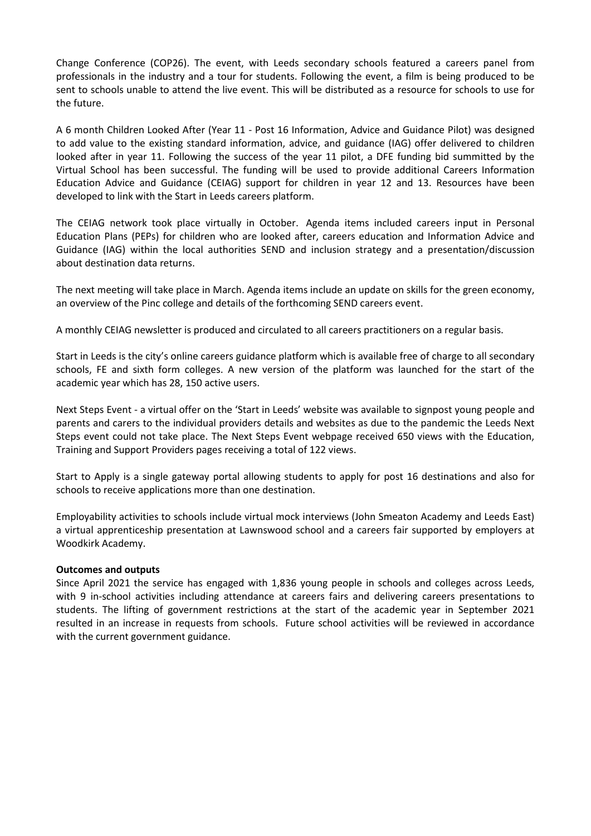Change Conference (COP26). The event, with Leeds secondary schools featured a careers panel from professionals in the industry and a tour for students. Following the event, a film is being produced to be sent to schools unable to attend the live event. This will be distributed as a resource for schools to use for the future.

A 6 month Children Looked After (Year 11 - Post 16 Information, Advice and Guidance Pilot) was designed to add value to the existing standard information, advice, and guidance (IAG) offer delivered to children looked after in year 11. Following the success of the year 11 pilot, a DFE funding bid summitted by the Virtual School has been successful. The funding will be used to provide additional Careers Information Education Advice and Guidance (CEIAG) support for children in year 12 and 13. Resources have been developed to link with the Start in Leeds careers platform.

The CEIAG network took place virtually in October. Agenda items included careers input in Personal Education Plans (PEPs) for children who are looked after, careers education and Information Advice and Guidance (IAG) within the local authorities SEND and inclusion strategy and a presentation/discussion about destination data returns.

The next meeting will take place in March. Agenda items include an update on skills for the green economy, an overview of the Pinc college and details of the forthcoming SEND careers event.

A monthly CEIAG newsletter is produced and circulated to all careers practitioners on a regular basis.

Start in Leeds is the city's online careers guidance platform which is available free of charge to all secondary schools, FE and sixth form colleges. A new version of the platform was launched for the start of the academic year which has 28, 150 active users.

Next Steps Event - a virtual offer on the 'Start in Leeds' website was available to signpost young people and parents and carers to the individual providers details and websites as due to the pandemic the Leeds Next Steps event could not take place. The Next Steps Event webpage received 650 views with the Education, Training and Support Providers pages receiving a total of 122 views.

Start to Apply is a single gateway portal allowing students to apply for post 16 destinations and also for schools to receive applications more than one destination.

Employability activities to schools include virtual mock interviews (John Smeaton Academy and Leeds East) a virtual apprenticeship presentation at Lawnswood school and a careers fair supported by employers at Woodkirk Academy.

#### **Outcomes and outputs**

Since April 2021 the service has engaged with 1,836 young people in schools and colleges across Leeds, with 9 in-school activities including attendance at careers fairs and delivering careers presentations to students. The lifting of government restrictions at the start of the academic year in September 2021 resulted in an increase in requests from schools. Future school activities will be reviewed in accordance with the current government guidance.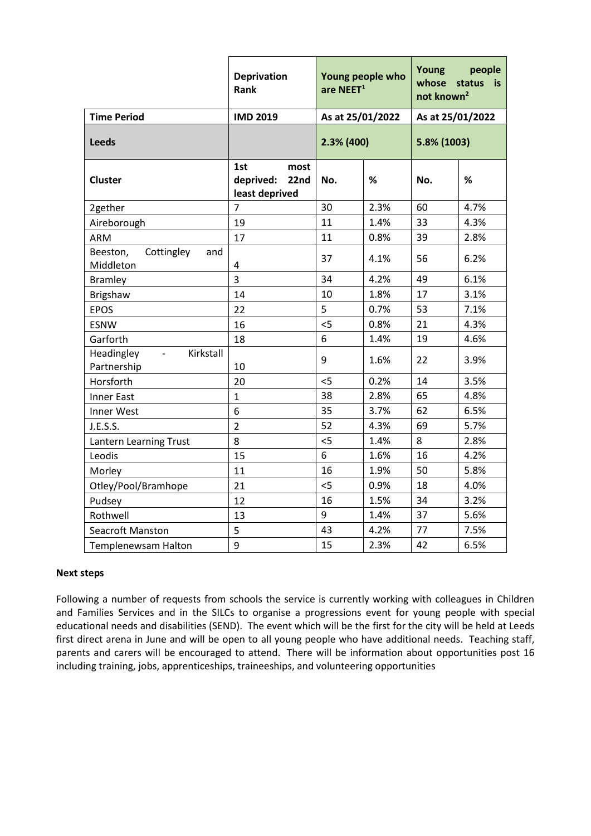|                                                          | <b>Deprivation</b><br>Rank                         | Young people who<br>are NEET <sup>1</sup> |      | Young<br>people<br>whose<br>status<br>is.<br>not known <sup>2</sup> |      |
|----------------------------------------------------------|----------------------------------------------------|-------------------------------------------|------|---------------------------------------------------------------------|------|
| <b>Time Period</b>                                       | <b>IMD 2019</b>                                    | As at 25/01/2022                          |      | As at 25/01/2022                                                    |      |
| <b>Leeds</b>                                             |                                                    | 2.3% (400)                                |      | 5.8% (1003)                                                         |      |
| <b>Cluster</b>                                           | 1st<br>most<br>deprived:<br>22nd<br>least deprived | No.                                       | %    | No.                                                                 | $\%$ |
| 2gether                                                  | $\overline{7}$                                     | 30                                        | 2.3% | 60                                                                  | 4.7% |
| Aireborough                                              | 19                                                 | 11                                        | 1.4% | 33                                                                  | 4.3% |
| <b>ARM</b>                                               | 17                                                 | 11                                        | 0.8% | 39                                                                  | 2.8% |
| Beeston,<br>Cottingley<br>and<br>Middleton               | 4                                                  | 37                                        | 4.1% | 56                                                                  | 6.2% |
| <b>Bramley</b>                                           | $\overline{3}$                                     | 34                                        | 4.2% | 49                                                                  | 6.1% |
| <b>Brigshaw</b>                                          | 14                                                 | 10                                        | 1.8% | 17                                                                  | 3.1% |
| <b>EPOS</b>                                              | 22                                                 | 5                                         | 0.7% | 53                                                                  | 7.1% |
| <b>ESNW</b>                                              | 16                                                 | 5                                         | 0.8% | 21                                                                  | 4.3% |
| Garforth                                                 | 18                                                 | 6                                         | 1.4% | 19                                                                  | 4.6% |
| Kirkstall<br>Headingley<br>$\blacksquare$<br>Partnership | 10                                                 | 9                                         | 1.6% | 22                                                                  | 3.9% |
| Horsforth                                                | 20                                                 | 5                                         | 0.2% | 14                                                                  | 3.5% |
| <b>Inner East</b>                                        | $\mathbf{1}$                                       | 38                                        | 2.8% | 65                                                                  | 4.8% |
| Inner West                                               | 6                                                  | 35                                        | 3.7% | 62                                                                  | 6.5% |
| J.E.S.S.                                                 | $\overline{2}$                                     | 52                                        | 4.3% | 69                                                                  | 5.7% |
| Lantern Learning Trust                                   | 8                                                  | 5                                         | 1.4% | 8                                                                   | 2.8% |
| Leodis                                                   | 15                                                 | 6                                         | 1.6% | 16                                                                  | 4.2% |
| Morley                                                   | 11                                                 | 16                                        | 1.9% | 50                                                                  | 5.8% |
| Otley/Pool/Bramhope                                      | 21                                                 | 5                                         | 0.9% | 18                                                                  | 4.0% |
| Pudsey                                                   | 12                                                 | 16                                        | 1.5% | 34                                                                  | 3.2% |
| Rothwell                                                 | 13                                                 | 9                                         | 1.4% | 37                                                                  | 5.6% |
| Seacroft Manston                                         | 5                                                  | 43                                        | 4.2% | 77                                                                  | 7.5% |
| Templenewsam Halton                                      | 9                                                  | 15                                        | 2.3% | 42                                                                  | 6.5% |

#### **Next steps**

Following a number of requests from schools the service is currently working with colleagues in Children and Families Services and in the SILCs to organise a progressions event for young people with special educational needs and disabilities (SEND). The event which will be the first for the city will be held at Leeds first direct arena in June and will be open to all young people who have additional needs. Teaching staff, parents and carers will be encouraged to attend. There will be information about opportunities post 16 including training, jobs, apprenticeships, traineeships, and volunteering opportunities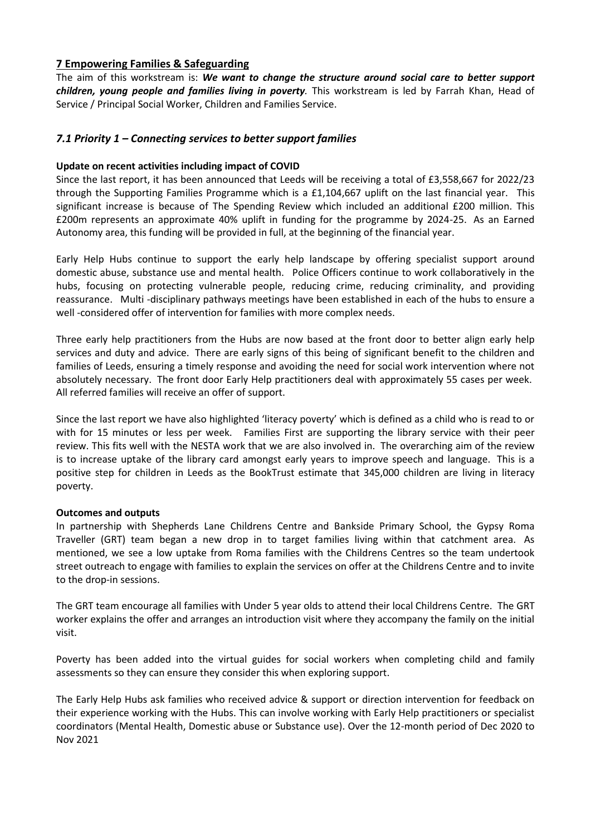#### **7 Empowering Families & Safeguarding**

The aim of this workstream is: *We want to change the structure around social care to better support children, young people and families living in poverty.* This workstream is led by Farrah Khan, Head of Service / Principal Social Worker, Children and Families Service.

#### *7.1 Priority 1 – Connecting services to better support families*

#### **Update on recent activities including impact of COVID**

Since the last report, it has been announced that Leeds will be receiving a total of £3,558,667 for 2022/23 through the Supporting Families Programme which is a £1,104,667 uplift on the last financial year. This significant increase is because of The Spending Review which included an additional £200 million. This £200m represents an approximate 40% uplift in funding for the programme by 2024-25. As an Earned Autonomy area, this funding will be provided in full, at the beginning of the financial year.

Early Help Hubs continue to support the early help landscape by offering specialist support around domestic abuse, substance use and mental health. Police Officers continue to work collaboratively in the hubs, focusing on protecting vulnerable people, reducing crime, reducing criminality, and providing reassurance. Multi -disciplinary pathways meetings have been established in each of the hubs to ensure a well -considered offer of intervention for families with more complex needs.

Three early help practitioners from the Hubs are now based at the front door to better align early help services and duty and advice. There are early signs of this being of significant benefit to the children and families of Leeds, ensuring a timely response and avoiding the need for social work intervention where not absolutely necessary. The front door Early Help practitioners deal with approximately 55 cases per week. All referred families will receive an offer of support.

Since the last report we have also highlighted 'literacy poverty' which is defined as a child who is read to or with for 15 minutes or less per week. Families First are supporting the library service with their peer review. This fits well with the NESTA work that we are also involved in. The overarching aim of the review is to increase uptake of the library card amongst early years to improve speech and language. This is a positive step for children in Leeds as the BookTrust estimate that 345,000 children are living in literacy poverty.

#### **Outcomes and outputs**

In partnership with Shepherds Lane Childrens Centre and Bankside Primary School, the Gypsy Roma Traveller (GRT) team began a new drop in to target families living within that catchment area. As mentioned, we see a low uptake from Roma families with the Childrens Centres so the team undertook street outreach to engage with families to explain the services on offer at the Childrens Centre and to invite to the drop-in sessions.

The GRT team encourage all families with Under 5 year olds to attend their local Childrens Centre. The GRT worker explains the offer and arranges an introduction visit where they accompany the family on the initial visit.

Poverty has been added into the virtual guides for social workers when completing child and family assessments so they can ensure they consider this when exploring support.

The Early Help Hubs ask families who received advice & support or direction intervention for feedback on their experience working with the Hubs. This can involve working with Early Help practitioners or specialist coordinators (Mental Health, Domestic abuse or Substance use). Over the 12-month period of Dec 2020 to Nov 2021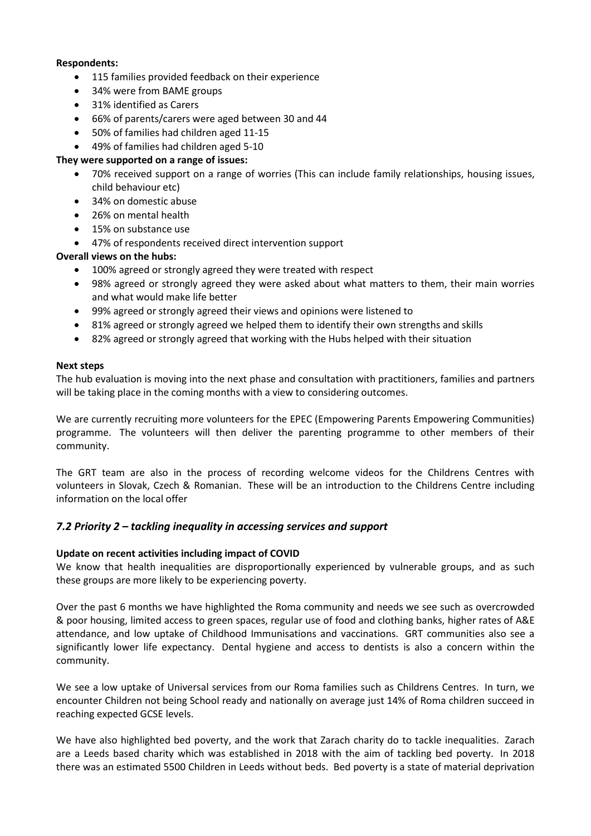#### **Respondents:**

- 115 families provided feedback on their experience
- 34% were from BAME groups
- 31% identified as Carers
- 66% of parents/carers were aged between 30 and 44
- 50% of families had children aged 11-15
- 49% of families had children aged 5-10

#### **They were supported on a range of issues:**

- 70% received support on a range of worries (This can include family relationships, housing issues, child behaviour etc)
- 34% on domestic abuse
- 26% on mental health
- 15% on substance use
- 47% of respondents received direct intervention support

#### **Overall views on the hubs:**

- 100% agreed or strongly agreed they were treated with respect
- 98% agreed or strongly agreed they were asked about what matters to them, their main worries and what would make life better
- 99% agreed or strongly agreed their views and opinions were listened to
- 81% agreed or strongly agreed we helped them to identify their own strengths and skills
- 82% agreed or strongly agreed that working with the Hubs helped with their situation

#### **Next steps**

The hub evaluation is moving into the next phase and consultation with practitioners, families and partners will be taking place in the coming months with a view to considering outcomes.

We are currently recruiting more volunteers for the EPEC (Empowering Parents Empowering Communities) programme. The volunteers will then deliver the parenting programme to other members of their community.

The GRT team are also in the process of recording welcome videos for the Childrens Centres with volunteers in Slovak, Czech & Romanian. These will be an introduction to the Childrens Centre including information on the local offer

#### *7.2 Priority 2 – tackling inequality in accessing services and support*

#### **Update on recent activities including impact of COVID**

We know that health inequalities are disproportionally experienced by vulnerable groups, and as such these groups are more likely to be experiencing poverty.

Over the past 6 months we have highlighted the Roma community and needs we see such as overcrowded & poor housing, limited access to green spaces, regular use of food and clothing banks, higher rates of A&E attendance, and low uptake of Childhood Immunisations and vaccinations. GRT communities also see a significantly lower life expectancy. Dental hygiene and access to dentists is also a concern within the community.

We see a low uptake of Universal services from our Roma families such as Childrens Centres. In turn, we encounter Children not being School ready and nationally on average just 14% of Roma children succeed in reaching expected GCSE levels.

We have also highlighted bed poverty, and the work that Zarach charity do to tackle inequalities. Zarach are a Leeds based charity which was established in 2018 with the aim of tackling bed poverty. In 2018 there was an estimated 5500 Children in Leeds without beds. Bed poverty is a state of material deprivation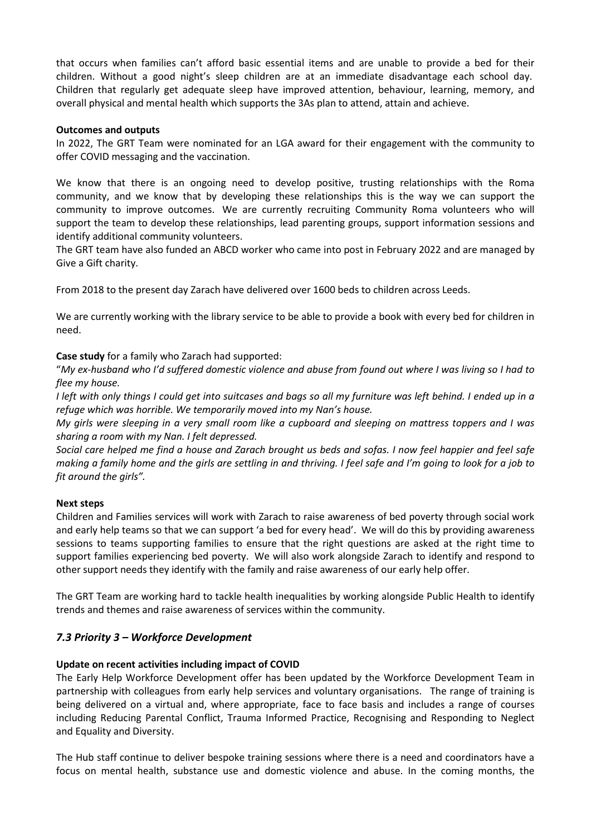that occurs when families can't afford basic essential items and are unable to provide a bed for their children. Without a good night's sleep children are at an immediate disadvantage each school day. Children that regularly get adequate sleep have improved attention, behaviour, learning, memory, and overall physical and mental health which supports the 3As plan to attend, attain and achieve.

#### **Outcomes and outputs**

In 2022, The GRT Team were nominated for an LGA award for their engagement with the community to offer COVID messaging and the vaccination.

We know that there is an ongoing need to develop positive, trusting relationships with the Roma community, and we know that by developing these relationships this is the way we can support the community to improve outcomes. We are currently recruiting Community Roma volunteers who will support the team to develop these relationships, lead parenting groups, support information sessions and identify additional community volunteers.

The GRT team have also funded an ABCD worker who came into post in February 2022 and are managed by Give a Gift charity.

From 2018 to the present day Zarach have delivered over 1600 beds to children across Leeds.

We are currently working with the library service to be able to provide a book with every bed for children in need.

#### **Case study** for a family who Zarach had supported:

"*My ex-husband who I'd suffered domestic violence and abuse from found out where I was living so I had to flee my house.*

*I left with only things I could get into suitcases and bags so all my furniture was left behind. I ended up in a refuge which was horrible. We temporarily moved into my Nan's house.*

*My girls were sleeping in a very small room like a cupboard and sleeping on mattress toppers and I was sharing a room with my Nan. I felt depressed.*

*Social care helped me find a house and Zarach brought us beds and sofas. I now feel happier and feel safe making a family home and the girls are settling in and thriving. I feel safe and I'm going to look for a job to fit around the girls".*

#### **Next steps**

Children and Families services will work with Zarach to raise awareness of bed poverty through social work and early help teams so that we can support 'a bed for every head'. We will do this by providing awareness sessions to teams supporting families to ensure that the right questions are asked at the right time to support families experiencing bed poverty. We will also work alongside Zarach to identify and respond to other support needs they identify with the family and raise awareness of our early help offer.

The GRT Team are working hard to tackle health inequalities by working alongside Public Health to identify trends and themes and raise awareness of services within the community.

#### *7.3 Priority 3 – Workforce Development*

#### **Update on recent activities including impact of COVID**

The Early Help Workforce Development offer has been updated by the Workforce Development Team in partnership with colleagues from early help services and voluntary organisations. The range of training is being delivered on a virtual and, where appropriate, face to face basis and includes a range of courses including Reducing Parental Conflict, Trauma Informed Practice, Recognising and Responding to Neglect and Equality and Diversity.

The Hub staff continue to deliver bespoke training sessions where there is a need and coordinators have a focus on mental health, substance use and domestic violence and abuse. In the coming months, the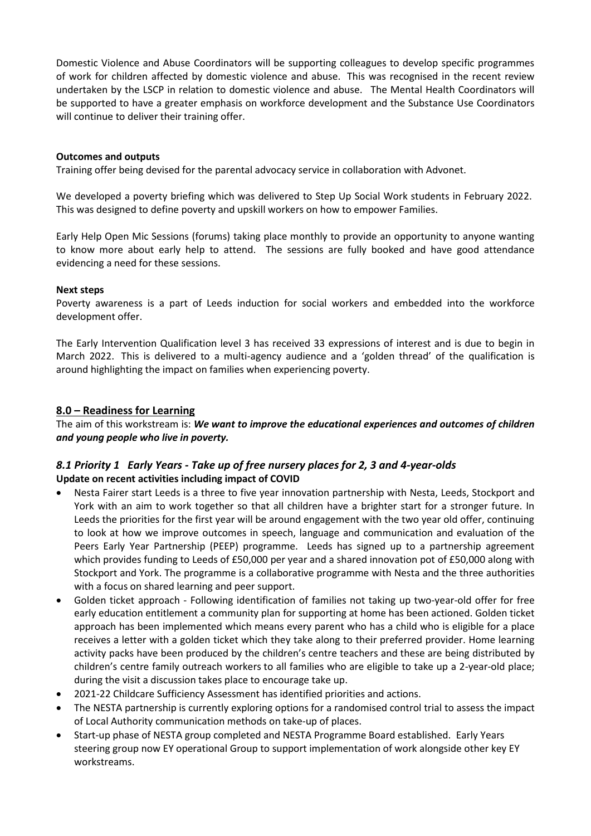Domestic Violence and Abuse Coordinators will be supporting colleagues to develop specific programmes of work for children affected by domestic violence and abuse. This was recognised in the recent review undertaken by the LSCP in relation to domestic violence and abuse. The Mental Health Coordinators will be supported to have a greater emphasis on workforce development and the Substance Use Coordinators will continue to deliver their training offer.

#### **Outcomes and outputs**

Training offer being devised for the parental advocacy service in collaboration with Advonet.

We developed a poverty briefing which was delivered to Step Up Social Work students in February 2022. This was designed to define poverty and upskill workers on how to empower Families.

Early Help Open Mic Sessions (forums) taking place monthly to provide an opportunity to anyone wanting to know more about early help to attend. The sessions are fully booked and have good attendance evidencing a need for these sessions.

#### **Next steps**

Poverty awareness is a part of Leeds induction for social workers and embedded into the workforce development offer.

The Early Intervention Qualification level 3 has received 33 expressions of interest and is due to begin in March 2022. This is delivered to a multi-agency audience and a 'golden thread' of the qualification is around highlighting the impact on families when experiencing poverty.

#### **8.0 – Readiness for Learning**

The aim of this workstream is: *We want to improve the educational experiences and outcomes of children and young people who live in poverty.*

## *8.1 Priority 1 Early Years - Take up of free nursery places for 2, 3 and 4-year-olds* **Update on recent activities including impact of COVID**

- Nesta Fairer start Leeds is a three to five year innovation partnership with Nesta, Leeds, Stockport and York with an aim to work together so that all children have a brighter start for a stronger future. In Leeds the priorities for the first year will be around engagement with the two year old offer, continuing to look at how we improve outcomes in speech, language and communication and evaluation of the Peers Early Year Partnership (PEEP) programme. Leeds has signed up to a partnership agreement which provides funding to Leeds of £50,000 per year and a shared innovation pot of £50,000 along with Stockport and York. The programme is a collaborative programme with Nesta and the three authorities with a focus on shared learning and peer support.
- Golden ticket approach Following identification of families not taking up two-year-old offer for free early education entitlement a community plan for supporting at home has been actioned. Golden ticket approach has been implemented which means every parent who has a child who is eligible for a place receives a letter with a golden ticket which they take along to their preferred provider. Home learning activity packs have been produced by the children's centre teachers and these are being distributed by children's centre family outreach workers to all families who are eligible to take up a 2-year-old place; during the visit a discussion takes place to encourage take up.
- 2021-22 Childcare Sufficiency Assessment has identified priorities and actions.
- The NESTA partnership is currently exploring options for a randomised control trial to assess the impact of Local Authority communication methods on take-up of places.
- Start-up phase of NESTA group completed and NESTA Programme Board established. Early Years steering group now EY operational Group to support implementation of work alongside other key EY workstreams.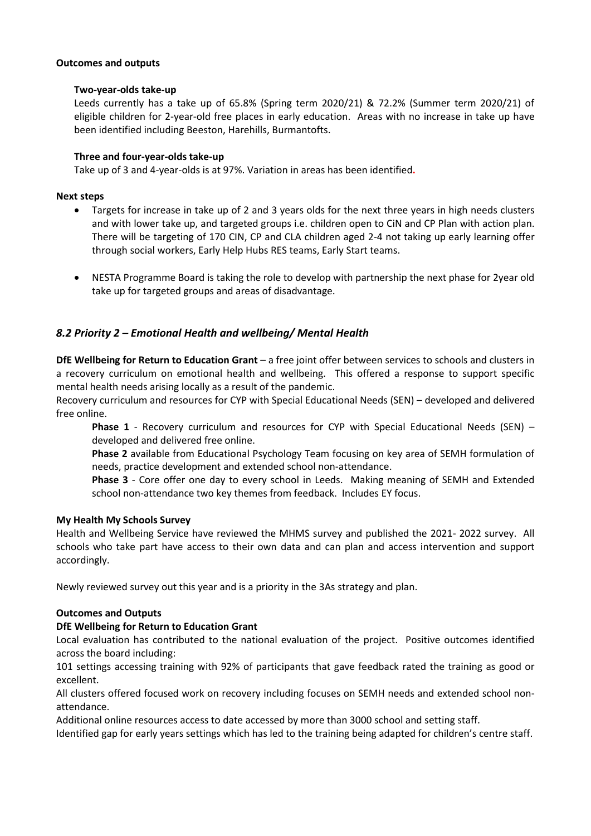#### **Outcomes and outputs**

#### **Two-year-olds take-up**

Leeds currently has a take up of 65.8% (Spring term 2020/21) & 72.2% (Summer term 2020/21) of eligible children for 2-year-old free places in early education. Areas with no increase in take up have been identified including Beeston, Harehills, Burmantofts.

#### **Three and four-year-olds take-up**

Take up of 3 and 4-year-olds is at 97%. Variation in areas has been identified**.**

#### **Next steps**

- Targets for increase in take up of 2 and 3 years olds for the next three years in high needs clusters and with lower take up, and targeted groups i.e. children open to CiN and CP Plan with action plan. There will be targeting of 170 CIN, CP and CLA children aged 2-4 not taking up early learning offer through social workers, Early Help Hubs RES teams, Early Start teams.
- NESTA Programme Board is taking the role to develop with partnership the next phase for 2year old take up for targeted groups and areas of disadvantage.

## *8.2 Priority 2 – Emotional Health and wellbeing/ Mental Health*

**DfE Wellbeing for Return to Education Grant** – a free joint offer between services to schools and clusters in a recovery curriculum on emotional health and wellbeing. This offered a response to support specific mental health needs arising locally as a result of the pandemic.

Recovery curriculum and resources for CYP with Special Educational Needs (SEN) – developed and delivered free online.

**Phase 1** - Recovery curriculum and resources for CYP with Special Educational Needs (SEN) – developed and delivered free online.

**Phase 2** available from Educational Psychology Team focusing on key area of SEMH formulation of needs, practice development and extended school non-attendance.

**Phase 3** - Core offer one day to every school in Leeds. Making meaning of SEMH and Extended school non-attendance two key themes from feedback. Includes EY focus.

#### **My Health My Schools Survey**

Health and Wellbeing Service have reviewed the MHMS survey and published the 2021- 2022 survey. All schools who take part have access to their own data and can plan and access intervention and support accordingly.

Newly reviewed survey out this year and is a priority in the 3As strategy and plan.

#### **Outcomes and Outputs**

#### **DfE Wellbeing for Return to Education Grant**

Local evaluation has contributed to the national evaluation of the project. Positive outcomes identified across the board including:

101 settings accessing training with 92% of participants that gave feedback rated the training as good or excellent.

All clusters offered focused work on recovery including focuses on SEMH needs and extended school nonattendance.

Additional online resources access to date accessed by more than 3000 school and setting staff.

Identified gap for early years settings which has led to the training being adapted for children's centre staff.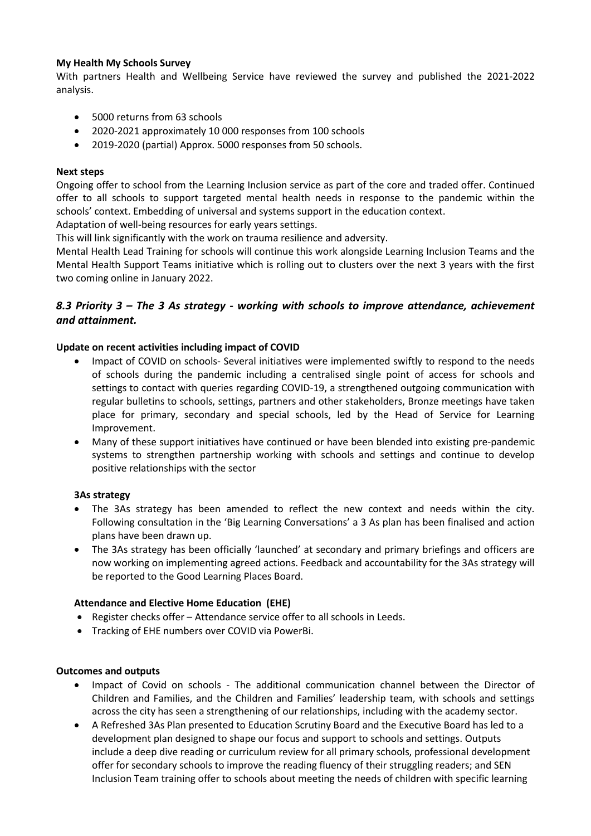#### **My Health My Schools Survey**

With partners Health and Wellbeing Service have reviewed the survey and published the 2021-2022 analysis.

- 5000 returns from 63 schools
- 2020-2021 approximately 10 000 responses from 100 schools
- 2019-2020 (partial) Approx. 5000 responses from 50 schools.

#### **Next steps**

Ongoing offer to school from the Learning Inclusion service as part of the core and traded offer. Continued offer to all schools to support targeted mental health needs in response to the pandemic within the schools' context. Embedding of universal and systems support in the education context.

Adaptation of well-being resources for early years settings.

This will link significantly with the work on trauma resilience and adversity.

Mental Health Lead Training for schools will continue this work alongside Learning Inclusion Teams and the Mental Health Support Teams initiative which is rolling out to clusters over the next 3 years with the first two coming online in January 2022.

## *8.3 Priority 3 – The 3 As strategy - working with schools to improve attendance, achievement and attainment.*

#### **Update on recent activities including impact of COVID**

- Impact of COVID on schools- Several initiatives were implemented swiftly to respond to the needs of schools during the pandemic including a centralised single point of access for schools and settings to contact with queries regarding COVID-19, a strengthened outgoing communication with regular bulletins to schools, settings, partners and other stakeholders, Bronze meetings have taken place for primary, secondary and special schools, led by the Head of Service for Learning Improvement.
- Many of these support initiatives have continued or have been blended into existing pre-pandemic systems to strengthen partnership working with schools and settings and continue to develop positive relationships with the sector

#### **3As strategy**

- The 3As strategy has been amended to reflect the new context and needs within the city. Following consultation in the 'Big Learning Conversations' a 3 As plan has been finalised and action plans have been drawn up.
- The 3As strategy has been officially 'launched' at secondary and primary briefings and officers are now working on implementing agreed actions. Feedback and accountability for the 3As strategy will be reported to the Good Learning Places Board.

#### **Attendance and Elective Home Education (EHE)**

- Register checks offer Attendance service offer to all schools in Leeds.
- Tracking of EHE numbers over COVID via PowerBi.

#### **Outcomes and outputs**

- Impact of Covid on schools The additional communication channel between the Director of Children and Families, and the Children and Families' leadership team, with schools and settings across the city has seen a strengthening of our relationships, including with the academy sector.
- A Refreshed 3As Plan presented to Education Scrutiny Board and the Executive Board has led to a development plan designed to shape our focus and support to schools and settings. Outputs include a deep dive reading or curriculum review for all primary schools, professional development offer for secondary schools to improve the reading fluency of their struggling readers; and SEN Inclusion Team training offer to schools about meeting the needs of children with specific learning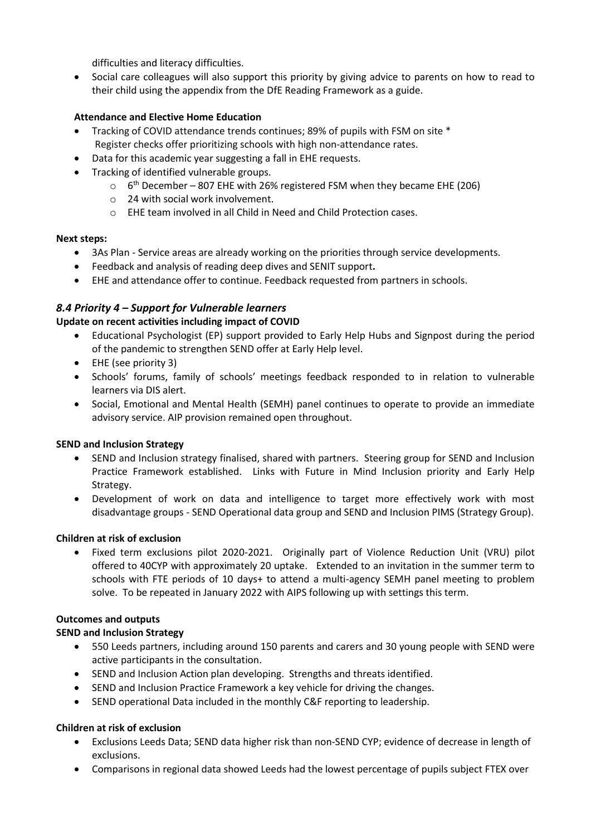difficulties and literacy difficulties.

• Social care colleagues will also support this priority by giving advice to parents on how to read to their child using the appendix from the DfE Reading Framework as a guide.

#### **Attendance and Elective Home Education**

- Tracking of COVID attendance trends continues; 89% of pupils with FSM on site \* Register checks offer prioritizing schools with high non-attendance rates.
- Data for this academic year suggesting a fall in EHE requests.
- Tracking of identified vulnerable groups.
	- $\circ$  6<sup>th</sup> December 807 EHE with 26% registered FSM when they became EHE (206)
	- o 24 with social work involvement.
	- o EHE team involved in all Child in Need and Child Protection cases.

#### **Next steps:**

- 3As Plan Service areas are already working on the priorities through service developments.
- Feedback and analysis of reading deep dives and SENIT support**.**
- EHE and attendance offer to continue. Feedback requested from partners in schools.

## *8.4 Priority 4 – Support for Vulnerable learners*

#### **Update on recent activities including impact of COVID**

- Educational Psychologist (EP) support provided to Early Help Hubs and Signpost during the period of the pandemic to strengthen SEND offer at Early Help level.
- EHE (see priority 3)
- Schools' forums, family of schools' meetings feedback responded to in relation to vulnerable learners via DIS alert.
- Social, Emotional and Mental Health (SEMH) panel continues to operate to provide an immediate advisory service. AIP provision remained open throughout.

#### **SEND and Inclusion Strategy**

- SEND and Inclusion strategy finalised, shared with partners. Steering group for SEND and Inclusion Practice Framework established. Links with Future in Mind Inclusion priority and Early Help Strategy.
- Development of work on data and intelligence to target more effectively work with most disadvantage groups - SEND Operational data group and SEND and Inclusion PIMS (Strategy Group).

#### **Children at risk of exclusion**

• Fixed term exclusions pilot 2020-2021. Originally part of Violence Reduction Unit (VRU) pilot offered to 40CYP with approximately 20 uptake. Extended to an invitation in the summer term to schools with FTE periods of 10 days+ to attend a multi-agency SEMH panel meeting to problem solve. To be repeated in January 2022 with AIPS following up with settings this term.

#### **Outcomes and outputs**

#### **SEND and Inclusion Strategy**

- 550 Leeds partners, including around 150 parents and carers and 30 young people with SEND were active participants in the consultation.
- SEND and Inclusion Action plan developing. Strengths and threats identified.
- SEND and Inclusion Practice Framework a key vehicle for driving the changes.
- SEND operational Data included in the monthly C&F reporting to leadership.

#### **Children at risk of exclusion**

- Exclusions Leeds Data; SEND data higher risk than non-SEND CYP; evidence of decrease in length of exclusions.
- Comparisons in regional data showed Leeds had the lowest percentage of pupils subject FTEX over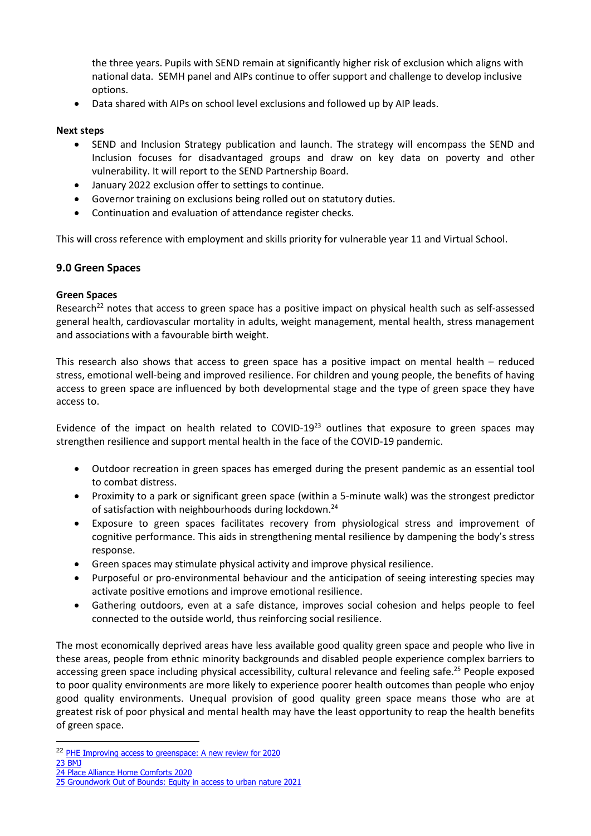the three years. Pupils with SEND remain at significantly higher risk of exclusion which aligns with national data. SEMH panel and AIPs continue to offer support and challenge to develop inclusive options.

• Data shared with AIPs on school level exclusions and followed up by AIP leads.

#### **Next steps**

- SEND and Inclusion Strategy publication and launch. The strategy will encompass the SEND and Inclusion focuses for disadvantaged groups and draw on key data on poverty and other vulnerability. It will report to the SEND Partnership Board.
- January 2022 exclusion offer to settings to continue.
- Governor training on exclusions being rolled out on statutory duties.
- Continuation and evaluation of attendance register checks.

This will cross reference with employment and skills priority for vulnerable year 11 and Virtual School.

#### **9.0 Green Spaces**

#### **Green Spaces**

Research<sup>22</sup> notes that access to green space has a positive impact on physical health such as self-assessed general health, cardiovascular mortality in adults, weight management, mental health, stress management and associations with a favourable birth weight.

This research also shows that access to green space has a positive impact on mental health – reduced stress, emotional well-being and improved resilience. For children and young people, the benefits of having access to green space are influenced by both developmental stage and the type of green space they have access to.

Evidence of the impact on health related to COVID-19<sup>23</sup> outlines that exposure to green spaces may strengthen resilience and support mental health in the face of the COVID-19 pandemic.

- Outdoor recreation in green spaces has emerged during the present pandemic as an essential tool to combat distress.
- Proximity to a park or significant green space (within a 5-minute walk) was the strongest predictor of satisfaction with neighbourhoods during lockdown.<sup>24</sup>
- Exposure to green spaces facilitates recovery from physiological stress and improvement of cognitive performance. This aids in strengthening mental resilience by dampening the body's stress response.
- Green spaces may stimulate physical activity and improve physical resilience.
- Purposeful or pro-environmental behaviour and the anticipation of seeing interesting species may activate positive emotions and improve emotional resilience.
- Gathering outdoors, even at a safe distance, improves social cohesion and helps people to feel connected to the outside world, thus reinforcing social resilience.

The most economically deprived areas have less available good quality green space and people who live in these areas, people from ethnic minority backgrounds and disabled people experience complex barriers to accessing green space including physical accessibility, cultural relevance and feeling safe.<sup>25</sup> People exposed to poor quality environments are more likely to experience poorer health outcomes than people who enjoy good quality environments. Unequal provision of good quality green space means those who are at greatest risk of poor physical and mental health may have the least opportunity to reap the health benefits of green space.

23 [BMJ](https://www.bmj.com/content/373/bmj.n1601?utm_source=etoc&utm_medium=email&utm_campaign=tbmj&utm_content=weekly&utm_term=20210702)

<sup>22</sup> [PHE Improving access to greenspace: A new review for 2020](https://assets.publishing.service.gov.uk/government/uploads/system/uploads/attachment_data/file/904439/Improving_access_to_greenspace_2020_review.pdf)

<sup>24</sup> [Place Alliance Home Comforts 2020](https://placealliance.org.uk/research/research-home-comforts/)

<sup>25</sup> [Groundwork Out of Bounds: Equity in access to urban nature 2021](https://www.groundwork.org.uk/wp-content/uploads/2021/05/Out-of-Bounds-equity-in-access-to-urban-nature.pdf)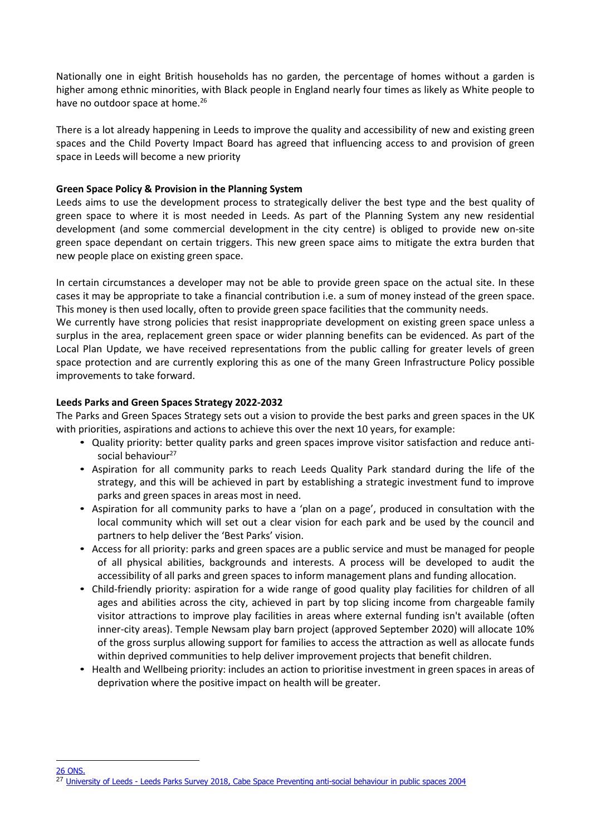Nationally one in eight British households has no garden, the percentage of homes without a garden is higher among ethnic minorities, with Black people in England nearly four times as likely as White people to have no outdoor space at home.<sup>26</sup>

There is a lot already happening in Leeds to improve the quality and accessibility of new and existing green spaces and the Child Poverty Impact Board has agreed that influencing access to and provision of green space in Leeds will become a new priority

#### **Green Space Policy & Provision in the Planning System**

Leeds aims to use the development process to strategically deliver the best type and the best quality of green space to where it is most needed in Leeds. As part of the Planning System any new residential development (and some commercial development in the city centre) is obliged to provide new on-site green space dependant on certain triggers. This new green space aims to mitigate the extra burden that new people place on existing green space.

In certain circumstances a developer may not be able to provide green space on the actual site. In these cases it may be appropriate to take a financial contribution i.e. a sum of money instead of the green space. This money is then used locally, often to provide green space facilities that the community needs.

We currently have strong policies that resist inappropriate development on existing green space unless a surplus in the area, replacement green space or wider planning benefits can be evidenced. As part of the Local Plan Update, we have received representations from the public calling for greater levels of green space protection and are currently exploring this as one of the many Green Infrastructure Policy possible improvements to take forward.

#### **Leeds Parks and Green Spaces Strategy 2022-2032**

The Parks and Green Spaces Strategy sets out a vision to provide the best parks and green spaces in the UK with priorities, aspirations and actions to achieve this over the next 10 years, for example:

- Quality priority: better quality parks and green spaces improve visitor satisfaction and reduce antisocial behaviour<sup>27</sup>
- Aspiration for all community parks to reach Leeds Quality Park standard during the life of the strategy, and this will be achieved in part by establishing a strategic investment fund to improve parks and green spaces in areas most in need.
- Aspiration for all community parks to have a 'plan on a page', produced in consultation with the local community which will set out a clear vision for each park and be used by the council and partners to help deliver the 'Best Parks' vision.
- Access for all priority: parks and green spaces are a public service and must be managed for people of all physical abilities, backgrounds and interests. A process will be developed to audit the accessibility of all parks and green spaces to inform management plans and funding allocation.
- Child-friendly priority: aspiration for a wide range of good quality play facilities for children of all ages and abilities across the city, achieved in part by top slicing income from chargeable family visitor attractions to improve play facilities in areas where external funding isn't available (often inner-city areas). Temple Newsam play barn project (approved September 2020) will allocate 10% of the gross surplus allowing support for families to access the attraction as well as allocate funds within deprived communities to help deliver improvement projects that benefit children.
- Health and Wellbeing priority: includes an action to prioritise investment in green spaces in areas of deprivation where the positive impact on health will be greater.

26 [ONS.](https://www.ons.gov.uk/economy/environmentalaccounts/articles/oneineightbritishhouseholdshasnogarden/latest)

<sup>27</sup> University of Leeds - [Leeds Parks Survey 2018,](https://futureofparks.leeds.ac.uk/wp-content/uploads/sites/26/2018/03/Leeds-Parks-Survey-Full-Report.pdf) Cabe Space Preventing anti-social behaviour in public spaces 2004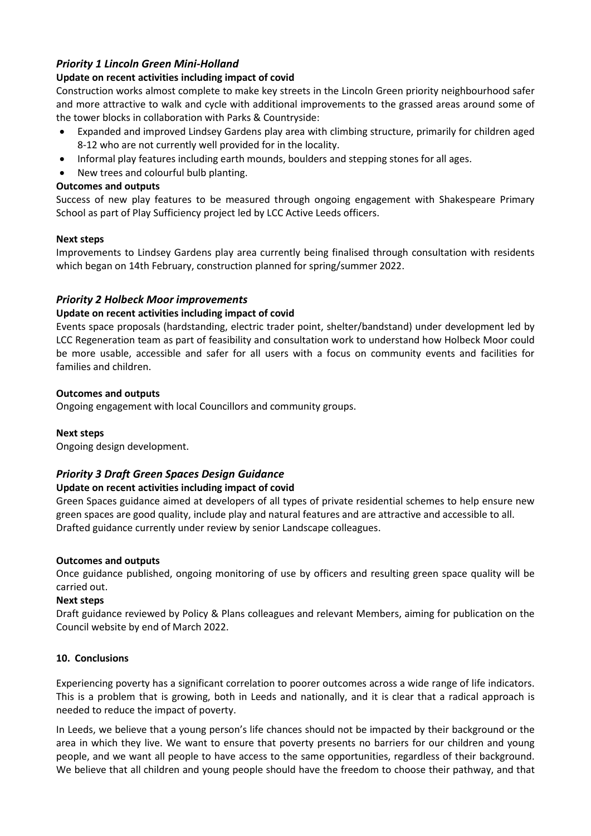## *Priority 1 Lincoln Green Mini-Holland*

#### **Update on recent activities including impact of covid**

Construction works almost complete to make key streets in the Lincoln Green priority neighbourhood safer and more attractive to walk and cycle with additional improvements to the grassed areas around some of the tower blocks in collaboration with Parks & Countryside:

- Expanded and improved Lindsey Gardens play area with climbing structure, primarily for children aged 8-12 who are not currently well provided for in the locality.
- Informal play features including earth mounds, boulders and stepping stones for all ages.
- New trees and colourful bulb planting.

#### **Outcomes and outputs**

Success of new play features to be measured through ongoing engagement with Shakespeare Primary School as part of Play Sufficiency project led by LCC Active Leeds officers.

#### **Next steps**

Improvements to Lindsey Gardens play area currently being finalised through consultation with residents which began on 14th February, construction planned for spring/summer 2022.

#### *Priority 2 Holbeck Moor improvements*

#### **Update on recent activities including impact of covid**

Events space proposals (hardstanding, electric trader point, shelter/bandstand) under development led by LCC Regeneration team as part of feasibility and consultation work to understand how Holbeck Moor could be more usable, accessible and safer for all users with a focus on community events and facilities for families and children.

#### **Outcomes and outputs**

Ongoing engagement with local Councillors and community groups.

#### **Next steps**

Ongoing design development.

#### *Priority 3 Draft Green Spaces Design Guidance*

#### **Update on recent activities including impact of covid**

Green Spaces guidance aimed at developers of all types of private residential schemes to help ensure new green spaces are good quality, include play and natural features and are attractive and accessible to all. Drafted guidance currently under review by senior Landscape colleagues.

#### **Outcomes and outputs**

Once guidance published, ongoing monitoring of use by officers and resulting green space quality will be carried out.

#### **Next steps**

Draft guidance reviewed by Policy & Plans colleagues and relevant Members, aiming for publication on the Council website by end of March 2022.

#### **10. Conclusions**

Experiencing poverty has a significant correlation to poorer outcomes across a wide range of life indicators. This is a problem that is growing, both in Leeds and nationally, and it is clear that a radical approach is needed to reduce the impact of poverty.

In Leeds, we believe that a young person's life chances should not be impacted by their background or the area in which they live. We want to ensure that poverty presents no barriers for our children and young people, and we want all people to have access to the same opportunities, regardless of their background. We believe that all children and young people should have the freedom to choose their pathway, and that